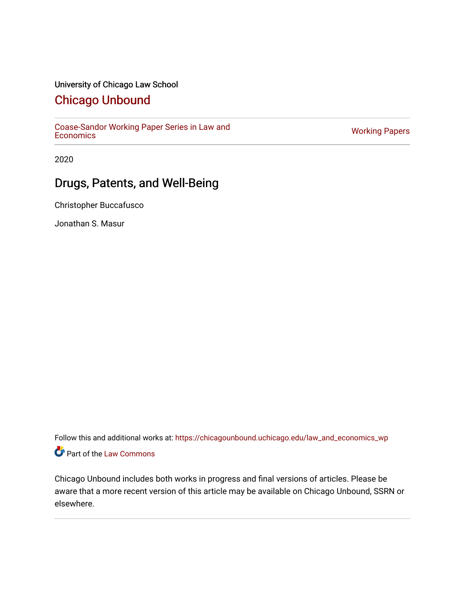## University of Chicago Law School

## [Chicago Unbound](https://chicagounbound.uchicago.edu/)

[Coase-Sandor Working Paper Series in Law and](https://chicagounbound.uchicago.edu/law_and_economics_wp) [Economics](https://chicagounbound.uchicago.edu/law_and_economics_wp) [Working Papers](https://chicagounbound.uchicago.edu/working_papers) 

2020

# Drugs, Patents, and Well-Being

Christopher Buccafusco

Jonathan S. Masur

Follow this and additional works at: [https://chicagounbound.uchicago.edu/law\\_and\\_economics\\_wp](https://chicagounbound.uchicago.edu/law_and_economics_wp?utm_source=chicagounbound.uchicago.edu%2Flaw_and_economics_wp%2F43&utm_medium=PDF&utm_campaign=PDFCoverPages)  Part of the [Law Commons](http://network.bepress.com/hgg/discipline/578?utm_source=chicagounbound.uchicago.edu%2Flaw_and_economics_wp%2F43&utm_medium=PDF&utm_campaign=PDFCoverPages)

Chicago Unbound includes both works in progress and final versions of articles. Please be aware that a more recent version of this article may be available on Chicago Unbound, SSRN or elsewhere.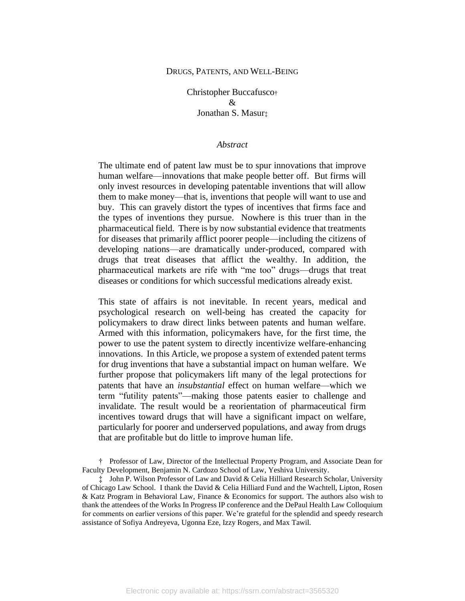#### DRUGS, PATENTS, AND WELL-BEING

Christopher Buccafusco†  $\mathcal{R}$ Jonathan S. Masur‡

#### *Abstract*

The ultimate end of patent law must be to spur innovations that improve human welfare—innovations that make people better off. But firms will only invest resources in developing patentable inventions that will allow them to make money—that is, inventions that people will want to use and buy. This can gravely distort the types of incentives that firms face and the types of inventions they pursue. Nowhere is this truer than in the pharmaceutical field. There is by now substantial evidence that treatments for diseases that primarily afflict poorer people—including the citizens of developing nations—are dramatically under-produced, compared with drugs that treat diseases that afflict the wealthy. In addition, the pharmaceutical markets are rife with "me too" drugs—drugs that treat diseases or conditions for which successful medications already exist.

This state of affairs is not inevitable. In recent years, medical and psychological research on well-being has created the capacity for policymakers to draw direct links between patents and human welfare. Armed with this information, policymakers have, for the first time, the power to use the patent system to directly incentivize welfare-enhancing innovations. In this Article, we propose a system of extended patent terms for drug inventions that have a substantial impact on human welfare. We further propose that policymakers lift many of the legal protections for patents that have an *insubstantial* effect on human welfare—which we term "futility patents"—making those patents easier to challenge and invalidate. The result would be a reorientation of pharmaceutical firm incentives toward drugs that will have a significant impact on welfare, particularly for poorer and underserved populations, and away from drugs that are profitable but do little to improve human life.

† Professor of Law, Director of the Intellectual Property Program, and Associate Dean for Faculty Development, Benjamin N. Cardozo School of Law, Yeshiva University.

‡ John P. Wilson Professor of Law and David & Celia Hilliard Research Scholar, University of Chicago Law School. I thank the David & Celia Hilliard Fund and the Wachtell, Lipton, Rosen & Katz Program in Behavioral Law, Finance & Economics for support. The authors also wish to thank the attendees of the Works In Progress IP conference and the DePaul Health Law Colloquium for comments on earlier versions of this paper. We're grateful for the splendid and speedy research assistance of Sofiya Andreyeva, Ugonna Eze, Izzy Rogers, and Max Tawil.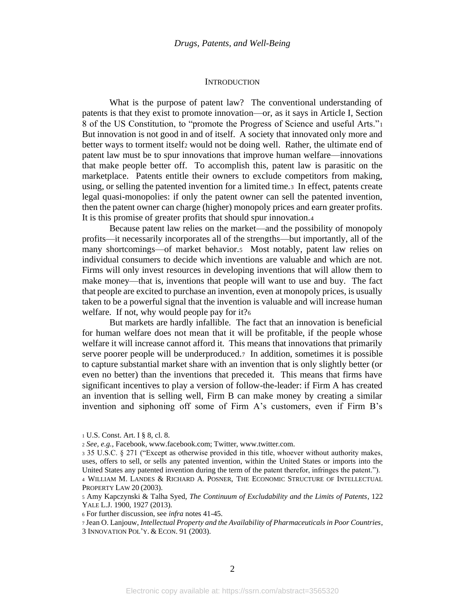#### <span id="page-2-0"></span>**INTRODUCTION**

What is the purpose of patent law? The conventional understanding of patents is that they exist to promote innovation—or, as it says in Article I, Section 8 of the US Constitution, to "promote the Progress of Science and useful Arts."<sup>1</sup> But innovation is not good in and of itself. A society that innovated only more and better ways to torment itself<sub>2</sub> would not be doing well. Rather, the ultimate end of patent law must be to spur innovations that improve human welfare—innovations that make people better off. To accomplish this, patent law is parasitic on the marketplace. Patents entitle their owners to exclude competitors from making, using, or selling the patented invention for a limited time.3 In effect, patents create legal quasi-monopolies: if only the patent owner can sell the patented invention, then the patent owner can charge (higher) monopoly prices and earn greater profits. It is this promise of greater profits that should spur innovation.<sup>4</sup>

<span id="page-2-1"></span>Because patent law relies on the market—and the possibility of monopoly profits—it necessarily incorporates all of the strengths—but importantly, all of the many shortcomings—of market behavior.5 Most notably, patent law relies on individual consumers to decide which inventions are valuable and which are not. Firms will only invest resources in developing inventions that will allow them to make money—that is, inventions that people will want to use and buy. The fact that people are excited to purchase an invention, even at monopoly prices, is usually taken to be a powerful signal that the invention is valuable and will increase human welfare. If not, why would people pay for it?6

But markets are hardly infallible. The fact that an innovation is beneficial for human welfare does not mean that it will be profitable, if the people whose welfare it will increase cannot afford it. This means that innovations that primarily serve poorer people will be underproduced.7 In addition, sometimes it is possible to capture substantial market share with an invention that is only slightly better (or even no better) than the inventions that preceded it. This means that firms have significant incentives to play a version of follow-the-leader: if Firm A has created an invention that is selling well, Firm B can make money by creating a similar invention and siphoning off some of Firm A's customers, even if Firm B's

<sup>1</sup> U.S. Const. Art. I § 8, cl. 8.

<sup>2</sup> *See, e.g.*, Facebook, www.facebook.com; Twitter, www.twitter.com.

<sup>3</sup> 35 U.S.C. § 271 ("Except as otherwise provided in this title, whoever without authority makes, uses, offers to sell, or sells any patented invention, within the United States or imports into the United States any patented invention during the term of the patent therefor, infringes the patent."). <sup>4</sup> WILLIAM M. LANDES & RICHARD A. POSNER, THE ECONOMIC STRUCTURE OF INTELLECTUAL PROPERTY LAW 20 (2003).

<sup>5</sup> Amy Kapczynski & Talha Syed, *The Continuum of Excludability and the Limits of Patents*, 122 YALE L.J. 1900, 1927 (2013).

<sup>6</sup> For further discussion, see *infra* note[s 41](#page-7-0)[-45.](#page-8-0)

<sup>7</sup> Jean O. Lanjouw, *Intellectual Property and the Availability of Pharmaceuticals in Poor Countries*, 3 INNOVATION POL'Y. & ECON. 91 (2003).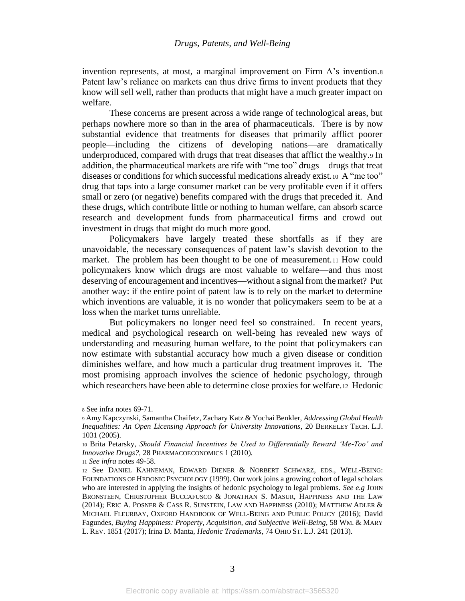invention represents, at most, a marginal improvement on Firm A's invention.<sup>8</sup> Patent law's reliance on markets can thus drive firms to invent products that they know will sell well, rather than products that might have a much greater impact on welfare.

These concerns are present across a wide range of technological areas, but perhaps nowhere more so than in the area of pharmaceuticals. There is by now substantial evidence that treatments for diseases that primarily afflict poorer people—including the citizens of developing nations—are dramatically underproduced, compared with drugs that treat diseases that afflict the wealthy.<sup>9</sup> In addition, the pharmaceutical markets are rife with "me too" drugs—drugs that treat diseases or conditions for which successful medications already exist.10 A "me too" drug that taps into a large consumer market can be very profitable even if it offers small or zero (or negative) benefits compared with the drugs that preceded it. And these drugs, which contribute little or nothing to human welfare, can absorb scarce research and development funds from pharmaceutical firms and crowd out investment in drugs that might do much more good.

Policymakers have largely treated these shortfalls as if they are unavoidable, the necessary consequences of patent law's slavish devotion to the market. The problem has been thought to be one of measurement.<sup>11</sup> How could policymakers know which drugs are most valuable to welfare—and thus most deserving of encouragement and incentives—without a signal from the market? Put another way: if the entire point of patent law is to rely on the market to determine which inventions are valuable, it is no wonder that policymakers seem to be at a loss when the market turns unreliable.

But policymakers no longer need feel so constrained. In recent years, medical and psychological research on well-being has revealed new ways of understanding and measuring human welfare, to the point that policymakers can now estimate with substantial accuracy how much a given disease or condition diminishes welfare, and how much a particular drug treatment improves it. The most promising approach involves the science of hedonic psychology, through which researchers have been able to determine close proxies for welfare.12 Hedonic

<sup>8</sup> See infra note[s 69](#page-10-0)[-71.](#page-10-1)

<sup>9</sup> Amy Kapczynski, Samantha Chaifetz, Zachary Katz & Yochai Benkler, *Addressing Global Health Inequalities: An Open Licensing Approach for University Innovations*, 20 BERKELEY TECH. L.J. 1031 (2005).

<sup>10</sup> Brita Petarsky, *Should Financial Incentives be Used to Differentially Reward 'Me-Too' and Innovative Drugs?,* 28 PHARMACOECONOMICS 1 (2010).

<sup>11</sup> *See infra* notes [49](#page-8-1)[-58.](#page-9-0)

<sup>12</sup> See DANIEL KAHNEMAN, EDWARD DIENER & NORBERT SCHWARZ, EDS., WELL-BEING: FOUNDATIONS OF HEDONIC PSYCHOLOGY (1999). Our work joins a growing cohort of legal scholars who are interested in applying the insights of hedonic psychology to legal problems. *See e.g* JOHN BRONSTEEN, CHRISTOPHER BUCCAFUSCO & JONATHAN S. MASUR, HAPPINESS AND THE LAW (2014); ERIC A. POSNER & CASS R. SUNSTEIN, LAW AND HAPPINESS (2010); MATTHEW ADLER & MICHAEL FLEURBAY, OXFORD HANDBOOK OF WELL-BEING AND PUBLIC POLICY (2016); David Fagundes, *Buying Happiness: Property, Acquisition, and Subjective Well-Being*, 58 WM. & MARY L. REV. 1851 (2017); Irina D. Manta, *Hedonic Trademarks*, 74 OHIO ST. L.J. 241 (2013).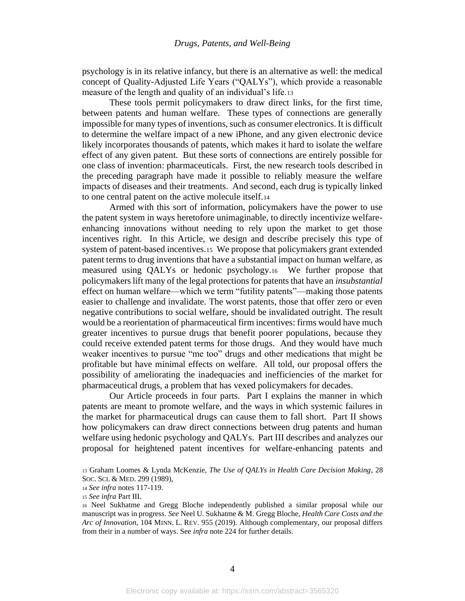psychology is in its relative infancy, but there is an alternative as well: the medical concept of Quality-Adjusted Life Years ("QALYs"), which provide a reasonable measure of the length and quality of an individual's life.<sup>13</sup>

These tools permit policymakers to draw direct links, for the first time, between patents and human welfare. These types of connections are generally impossible for many types of inventions, such as consumer electronics. It is difficult to determine the welfare impact of a new iPhone, and any given electronic device likely incorporates thousands of patents, which makes it hard to isolate the welfare effect of any given patent. But these sorts of connections are entirely possible for one class of invention: pharmaceuticals. First, the new research tools described in the preceding paragraph have made it possible to reliably measure the welfare impacts of diseases and their treatments. And second, each drug is typically linked to one central patent on the active molecule itself.<sup>14</sup>

Armed with this sort of information, policymakers have the power to use the patent system in ways heretofore unimaginable, to directly incentivize welfareenhancing innovations without needing to rely upon the market to get those incentives right. In this Article, we design and describe precisely this type of system of patent-based incentives.15 We propose that policymakers grant extended patent terms to drug inventions that have a substantial impact on human welfare, as measured using QALYs or hedonic psychology.16 We further propose that policymakers lift many of the legal protections for patents that have an *insubstantial*  effect on human welfare—which we term "futility patents"—making those patents easier to challenge and invalidate. The worst patents, those that offer zero or even negative contributions to social welfare, should be invalidated outright. The result would be a reorientation of pharmaceutical firm incentives: firms would have much greater incentives to pursue drugs that benefit poorer populations, because they could receive extended patent terms for those drugs. And they would have much weaker incentives to pursue "me too" drugs and other medications that might be profitable but have minimal effects on welfare. All told, our proposal offers the possibility of ameliorating the inadequacies and inefficiencies of the market for pharmaceutical drugs, a problem that has vexed policymakers for decades.

Our Article proceeds in four parts. Part I explains the manner in which patents are meant to promote welfare, and the ways in which systemic failures in the market for pharmaceutical drugs can cause them to fall short. Part II shows how policymakers can draw direct connections between drug patents and human welfare using hedonic psychology and QALYs. Part III describes and analyzes our proposal for heightened patent incentives for welfare-enhancing patents and

<sup>13</sup> Graham Loomes & Lynda McKenzie, *The Use of QALYs in Health Care Decision Making*, 28 SOC.SCI. & MED. 299 (1989),

<sup>14</sup> *See infra* notes [117](#page-16-0)[-119.](#page-16-1)

<sup>15</sup> *See infra* Part III.

<sup>16</sup> Neel Sukhatme and Gregg Bloche independently published a similar proposal while our manuscript was in progress. *See* Neel U. Sukhatme & M. Gregg Bloche, *Health Care Costs and the Arc of Innovation,* 104 MINN. L. REV. 955 (2019). Although complementary, our proposal differs from their in a number of ways. See *infra* note [224](#page-28-0) for further details.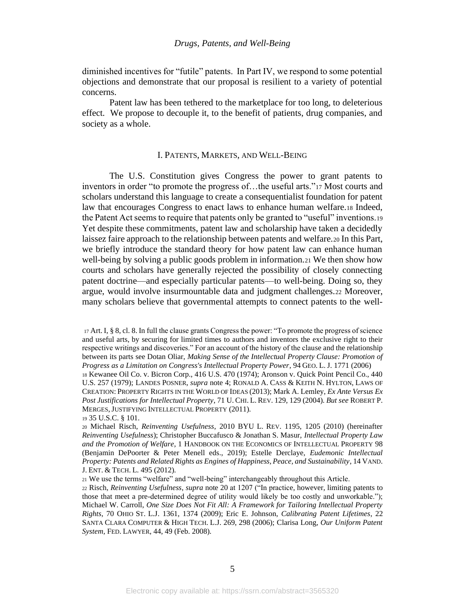diminished incentives for "futile" patents. In Part IV, we respond to some potential objections and demonstrate that our proposal is resilient to a variety of potential concerns.

Patent law has been tethered to the marketplace for too long, to deleterious effect. We propose to decouple it, to the benefit of patients, drug companies, and society as a whole.

## <span id="page-5-1"></span><span id="page-5-0"></span>I. PATENTS, MARKETS, AND WELL-BEING

The U.S. Constitution gives Congress the power to grant patents to inventors in order "to promote the progress of…the useful arts."<sup>17</sup> Most courts and scholars understand this language to create a consequentialist foundation for patent law that encourages Congress to enact laws to enhance human welfare.<sup>18</sup> Indeed, the Patent Act seems to require that patents only be granted to "useful" inventions.<sup>19</sup> Yet despite these commitments, patent law and scholarship have taken a decidedly laissez faire approach to the relationship between patents and welfare.<sup>20</sup> In this Part, we briefly introduce the standard theory for how patent law can enhance human well-being by solving a public goods problem in information.<sup>21</sup> We then show how courts and scholars have generally rejected the possibility of closely connecting patent doctrine—and especially particular patents—to well-being. Doing so, they argue, would involve insurmountable data and judgment challenges.<sup>22</sup> Moreover, many scholars believe that governmental attempts to connect patents to the well-

<sup>17</sup> Art. I, § 8, cl. 8. In full the clause grants Congress the power: "To promote the progress of science and useful arts, by securing for limited times to authors and inventors the exclusive right to their respective writings and discoveries." For an account of the history of the clause and the relationship between its parts see Dotan Oliar, *Making Sense of the Intellectual Property Clause: Promotion of Progress as a Limitation on Congress's Intellectual Property Power*, 94 GEO. L. J. 1771 (2006)

<sup>18</sup> Kewanee Oil Co. v. Bicron Corp., 416 U.S. 470 (1974); Aronson v. Quick Point Pencil Co., 440 U.S. 257 (1979); LANDES POSNER, *supra* note [4;](#page-2-0) RONALD A. CASS & KEITH N. HYLTON, LAWS OF CREATION:PROPERTY RIGHTS IN THE WORLD OF IDEAS (2013); Mark A. Lemley, *Ex Ante Versus Ex Post Justifications for Intellectual Property*, 71 U. CHI. L. REV. 129, 129 (2004). *But see* ROBERT P. MERGES,JUSTIFYING INTELLECTUAL PROPERTY (2011).

<sup>19</sup> 35 U.S.C. § 101.

<sup>20</sup> Michael Risch, *Reinventing Usefulness*, 2010 BYU L. REV. 1195, 1205 (2010) (hereinafter *Reinventing Usefulness*); Christopher Buccafusco & Jonathan S. Masur, *Intellectual Property Law and the Promotion of Welfare*, 1 HANDBOOK ON THE ECONOMICS OF INTELLECTUAL PROPERTY 98 (Benjamin DePoorter & Peter Menell eds., 2019); Estelle Derclaye, *Eudemonic Intellectual Property: Patents and Related Rights as Engines of Happiness, Peace, and Sustainability*, 14 VAND. J. ENT. & TECH. L. 495 (2012).

<sup>21</sup> We use the terms "welfare" and "well-being" interchangeably throughout this Article.

<sup>22</sup> Risch, *Reinventing Usefulness*, *supra* note [20](#page-5-0) at 1207 ("In practice, however, limiting patents to those that meet a pre-determined degree of utility would likely be too costly and unworkable."); Michael W. Carroll, *One Size Does Not Fit All: A Framework for Tailoring Intellectual Property Rights*, 70 OHIO ST. L.J. 1361, 1374 (2009); Eric E. Johnson, *Calibrating Patent Lifetimes*, 22 SANTA CLARA COMPUTER & HIGH TECH. L.J. 269, 298 (2006); Clarisa Long, *Our Uniform Patent System*, FED. LAWYER, 44, 49 (Feb. 2008).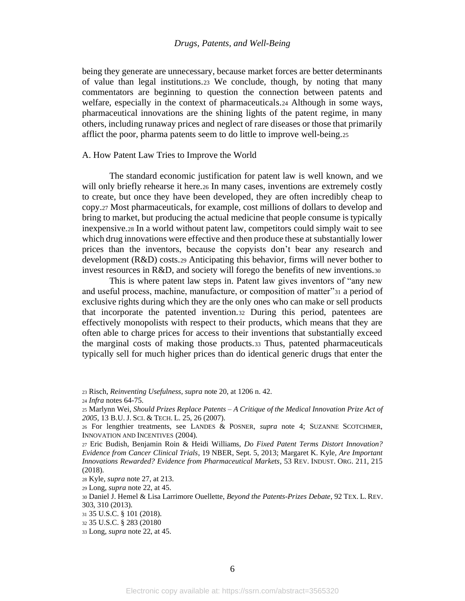being they generate are unnecessary, because market forces are better determinants of value than legal institutions.<sup>23</sup> We conclude, though, by noting that many commentators are beginning to question the connection between patents and welfare, especially in the context of pharmaceuticals.<sup>24</sup> Although in some ways, pharmaceutical innovations are the shining lights of the patent regime, in many others, including runaway prices and neglect of rare diseases or those that primarily afflict the poor, pharma patents seem to do little to improve well-being.<sup>25</sup>

#### A. How Patent Law Tries to Improve the World

<span id="page-6-0"></span>The standard economic justification for patent law is well known, and we will only briefly rehearse it here.26 In many cases, inventions are extremely costly to create, but once they have been developed, they are often incredibly cheap to copy.<sup>27</sup> Most pharmaceuticals, for example, cost millions of dollars to develop and bring to market, but producing the actual medicine that people consume is typically inexpensive.<sup>28</sup> In a world without patent law, competitors could simply wait to see which drug innovations were effective and then produce these at substantially lower prices than the inventors, because the copyists don't bear any research and development (R&D) costs.<sup>29</sup> Anticipating this behavior, firms will never bother to invest resources in R&D, and society will forego the benefits of new inventions.<sup>30</sup>

<span id="page-6-2"></span><span id="page-6-1"></span>This is where patent law steps in. Patent law gives inventors of "any new and useful process, machine, manufacture, or composition of matter"<sup>31</sup> a period of exclusive rights during which they are the only ones who can make or sell products that incorporate the patented invention.<sup>32</sup> During this period, patentees are effectively monopolists with respect to their products, which means that they are often able to charge prices for access to their inventions that substantially exceed the marginal costs of making those products.<sup>33</sup> Thus, patented pharmaceuticals typically sell for much higher prices than do identical generic drugs that enter the

<sup>23</sup> Risch, *Reinventing Usefulness*, *supra* not[e 20,](#page-5-0) at 1206 n. 42.

<sup>24</sup> *Infra* notes [64](#page-10-2)[-75.](#page-11-0)

<sup>25</sup> Marlynn Wei, *Should Prizes Replace Patents – A Critique of the Medical Innovation Prize Act of 2005*, 13 B.U. J.SCI. & TECH. L. 25, 26 (2007).

<sup>26</sup> For lengthier treatments, see LANDES & POSNER, *supra* note [4;](#page-2-0) SUZANNE SCOTCHMER, INNOVATION AND INCENTIVES (2004).

<sup>27</sup> Eric Budish, Benjamin Roin & Heidi Williams, *Do Fixed Patent Terms Distort Innovation? Evidence from Cancer Clinical Trials*, 19 NBER, Sept. 5, 2013; Margaret K. Kyle, *Are Important Innovations Rewarded? Evidence from Pharmaceutical Markets*, 53 REV. INDUST. ORG. 211, 215 (2018).

<sup>28</sup> Kyle, *supra* not[e 27,](#page-6-0) at 213.

<sup>29</sup> Long, *supra* note [22,](#page-5-1) at 45.

<sup>30</sup> Daniel J. Hemel & Lisa Larrimore Ouellette, *Beyond the Patents-Prizes Debate*, 92 TEX. L. REV. 303, 310 (2013).

<sup>31</sup> 35 U.S.C. § 101 (2018).

<sup>32</sup> 35 U.S.C. § 283 (20180

<sup>33</sup> Long, *supra* note [22,](#page-5-1) at 45.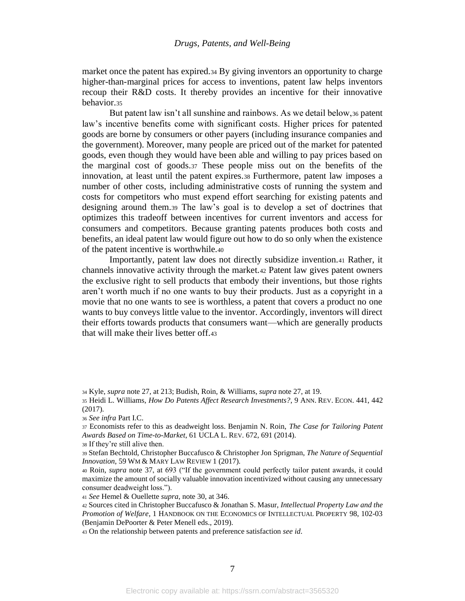market once the patent has expired.<sup>34</sup> By giving inventors an opportunity to charge higher-than-marginal prices for access to inventions, patent law helps inventors recoup their R&D costs. It thereby provides an incentive for their innovative behavior.<sup>35</sup>

<span id="page-7-6"></span><span id="page-7-5"></span><span id="page-7-1"></span>But patent law isn't all sunshine and rainbows. As we detail below,<sup>36</sup> patent law's incentive benefits come with significant costs. Higher prices for patented goods are borne by consumers or other payers (including insurance companies and the government). Moreover, many people are priced out of the market for patented goods, even though they would have been able and willing to pay prices based on the marginal cost of goods.<sup>37</sup> These people miss out on the benefits of the innovation, at least until the patent expires.<sup>38</sup> Furthermore, patent law imposes a number of other costs, including administrative costs of running the system and costs for competitors who must expend effort searching for existing patents and designing around them.<sup>39</sup> The law's goal is to develop a set of doctrines that optimizes this tradeoff between incentives for current inventors and access for consumers and competitors. Because granting patents produces both costs and benefits, an ideal patent law would figure out how to do so only when the existence of the patent incentive is worthwhile.<sup>40</sup>

<span id="page-7-4"></span><span id="page-7-3"></span><span id="page-7-2"></span><span id="page-7-0"></span>Importantly, patent law does not directly subsidize invention.<sup>41</sup> Rather, it channels innovative activity through the market.<sup>42</sup> Patent law gives patent owners the exclusive right to sell products that embody their inventions, but those rights aren't worth much if no one wants to buy their products. Just as a copyright in a movie that no one wants to see is worthless, a patent that covers a product no one wants to buy conveys little value to the inventor. Accordingly, inventors will direct their efforts towards products that consumers want—which are generally products that will make their lives better off.<sup>43</sup>

<sup>34</sup> Kyle, *supra* not[e 27,](#page-6-0) at 213; Budish, Roin, & Williams, *supra* note [27,](#page-6-0) at 19.

<sup>35</sup> Heidi L. Williams, *How Do Patents Affect Research Investments?*, 9 ANN. REV. ECON. 441, 442 (2017).

<sup>36</sup> *See infra* Part I.C.

<sup>37</sup> Economists refer to this as deadweight loss. Benjamin N. Roin, *The Case for Tailoring Patent Awards Based on Time-to-Market*, 61 UCLA L. REV. 672, 691 (2014).

<sup>38</sup> If they're still alive then.

<sup>39</sup> Stefan Bechtold, Christopher Buccafusco & Christopher Jon Sprigman, *The Nature of Sequential Innovation*, 59 WM & MARY LAW REVIEW 1 (2017).

<sup>40</sup> Roin, *supra* note [37,](#page-7-1) at 693 ("If the government could perfectly tailor patent awards, it could maximize the amount of socially valuable innovation incentivized without causing any unnecessary consumer deadweight loss.").

<sup>41</sup> *See* Hemel & Ouellette *supra*, not[e 30,](#page-6-1) at 346.

<sup>42</sup> Sources cited in Christopher Buccafusco & Jonathan S. Masur, *Intellectual Property Law and the Promotion of Welfare*, 1 HANDBOOK ON THE ECONOMICS OF INTELLECTUAL PROPERTY 98, 102-03 (Benjamin DePoorter & Peter Menell eds., 2019).

<sup>43</sup> On the relationship between patents and preference satisfaction *see id*.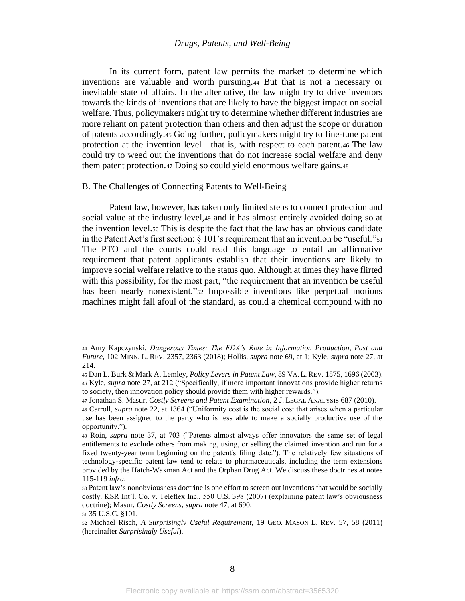<span id="page-8-4"></span>In its current form, patent law permits the market to determine which inventions are valuable and worth pursuing.<sup>44</sup> But that is not a necessary or inevitable state of affairs. In the alternative, the law might try to drive inventors towards the kinds of inventions that are likely to have the biggest impact on social welfare. Thus, policymakers might try to determine whether different industries are more reliant on patent protection than others and then adjust the scope or duration of patents accordingly.<sup>45</sup> Going further, policymakers might try to fine-tune patent protection at the invention level—that is, with respect to each patent.<sup>46</sup> The law could try to weed out the inventions that do not increase social welfare and deny them patent protection.<sup>47</sup> Doing so could yield enormous welfare gains.<sup>48</sup>

### <span id="page-8-5"></span><span id="page-8-2"></span><span id="page-8-0"></span>B. The Challenges of Connecting Patents to Well-Being

<span id="page-8-1"></span>Patent law, however, has taken only limited steps to connect protection and social value at the industry level,<sup>49</sup> and it has almost entirely avoided doing so at the invention level.<sup>50</sup> This is despite the fact that the law has an obvious candidate in the Patent Act's first section: § 101's requirement that an invention be "useful."<sup>51</sup> The PTO and the courts could read this language to entail an affirmative requirement that patent applicants establish that their inventions are likely to improve social welfare relative to the status quo. Although at times they have flirted with this possibility, for the most part, "the requirement that an invention be useful has been nearly nonexistent."<sup>52</sup> Impossible inventions like perpetual motions machines might fall afoul of the standard, as could a chemical compound with no

<span id="page-8-3"></span><sup>44</sup> Amy Kapczynski, *Dangerous Times: The FDA's Role in Information Production, Past and Future*, 102 MINN. L. REV. 2357, 2363 (2018); Hollis, *supra* note [69,](#page-10-0) at 1; Kyle, *supra* not[e 27,](#page-6-0) at 214.

<sup>45</sup> Dan L. Burk & Mark A. Lemley, *Policy Levers in Patent Law*, 89 VA. L. REV. 1575, 1696 (2003). <sup>46</sup> Kyle, *supra* not[e 27,](#page-6-0) at 212 ("Specifically, if more important innovations provide higher returns to society, then innovation policy should provide them with higher rewards.").

<sup>47</sup> Jonathan S. Masur, *Costly Screens and Patent Examination*, 2 J. LEGAL ANALYSIS 687 (2010).

<sup>48</sup> Carroll, *supra* note [22,](#page-5-1) at 1364 ("Uniformity cost is the social cost that arises when a particular use has been assigned to the party who is less able to make a socially productive use of the opportunity.").

<sup>49</sup> Roin, *supra* note [37,](#page-7-1) at 703 ("Patents almost always offer innovators the same set of legal entitlements to exclude others from making, using, or selling the claimed invention and run for a fixed twenty-year term beginning on the patent's filing date."). The relatively few situations of technology-specific patent law tend to relate to pharmaceuticals, including the term extensions provided by the Hatch-Waxman Act and the Orphan Drug Act. We discuss these doctrines at notes [115](#page-16-2)[-119](#page-16-1) *infra*.

<sup>50</sup> Patent law's nonobviousness doctrine is one effort to screen out inventions that would be socially costly. KSR Int'l. Co. v. Teleflex Inc., 550 U.S. 398 (2007) (explaining patent law's obviousness doctrine); Masur, *Costly Screens*, *supra* note [47,](#page-8-2) at 690.

<sup>51</sup> 35 U.S.C. §101.

<sup>52</sup> Michael Risch, *A Surprisingly Useful Requirement*, 19 GEO. MASON L. REV. 57, 58 (2011) (hereinafter *Surprisingly Useful*).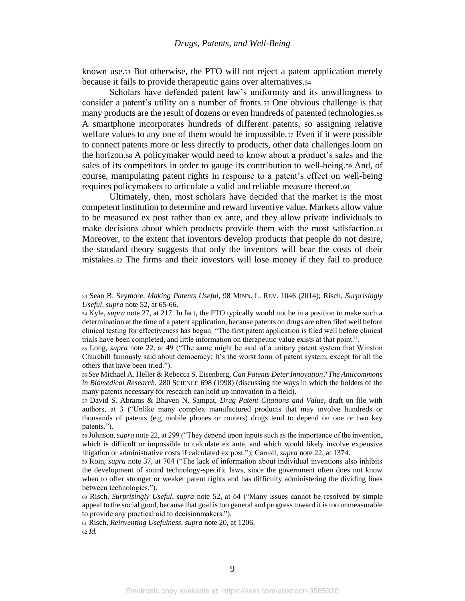known use.<sup>53</sup> But otherwise, the PTO will not reject a patent application merely because it fails to provide therapeutic gains over alternatives.<sup>54</sup>

Scholars have defended patent law's uniformity and its unwillingness to consider a patent's utility on a number of fronts.<sup>55</sup> One obvious challenge is that many products are the result of dozens or even hundreds of patented technologies.<sup>56</sup> A smartphone incorporates hundreds of different patents, so assigning relative welfare values to any one of them would be impossible.<sup>57</sup> Even if it were possible to connect patents more or less directly to products, other data challenges loom on the horizon.<sup>58</sup> A policymaker would need to know about a product's sales and the sales of its competitors in order to gauge its contribution to well-being.<sup>59</sup> And, of course, manipulating patent rights in response to a patent's effect on well-being requires policymakers to articulate a valid and reliable measure thereof.<sup>60</sup>

<span id="page-9-0"></span>Ultimately, then, most scholars have decided that the market is the most competent institution to determine and reward inventive value. Markets allow value to be measured ex post rather than ex ante, and they allow private individuals to make decisions about which products provide them with the most satisfaction.<sup>61</sup> Moreover, to the extent that inventors develop products that people do not desire, the standard theory suggests that only the inventors will bear the costs of their mistakes.<sup>62</sup> The firms and their investors will lose money if they fail to produce

<sup>53</sup> Sean B. Seymore, *Making Patents Useful*, 98 MINN. L. REV. 1046 (2014); Risch, *Surprisingly Useful, supra* note [52,](#page-8-3) at 65-66.

<sup>54</sup> Kyle, *supra* note [27,](#page-6-0) at 217. In fact, the PTO typically would not be in a position to make such a determination at the time of a patent application, because patents on drugs are often filed well before clinical testing for effectiveness has begun. "The first patent application is filed well before clinical trials have been completed, and little information on therapeutic value exists at that point.".

<sup>55</sup> Long, *supra* note [22,](#page-5-1) at 49 ("The same might be said of a unitary patent system that Winston Churchill famously said about democracy: It's the worst form of patent system, except for all the others that have been tried.").

<sup>56</sup> *See* Michael A. Heller & Rebecca S. Eisenberg, *Can Patents Deter Innovation? The Anticommons in Biomedical Research*, 280 SCIENCE 698 (1998) (discussing the ways in which the holders of the many patents necessary for research can hold up innovation in a field).

<sup>57</sup> David S. Abrams & Bhaven N. Sampat, *Drug Patent Citations and Value*, draft on file with authors, at 3 ("Unlike many complex manufactured products that may involve hundreds or thousands of patents (e.g mobile phones or routers) drugs tend to depend on one or two key patents.").

<sup>58</sup> Johnson, *supra* not[e 22,](#page-5-1) at 299 ("They depend upon inputs such as the importance of the invention, which is difficult or impossible to calculate ex ante, and which would likely involve expensive litigation or administrative costs if calculated ex post."); Carroll, *supra* note [22,](#page-5-1) at 1374.

<sup>59</sup> Roin, *supra* note [37,](#page-7-1) at 704 ("The lack of information about individual inventions also inhibits the development of sound technology-specific laws, since the government often does not know when to offer stronger or weaker patent rights and has difficulty administering the dividing lines between technologies.").

<sup>60</sup> Risch, *Surprisingly Useful*, *supra* note [52,](#page-8-3) at 64 ("Many issues cannot be resolved by simple appeal to the social good, because that goal is too general and progress toward it is too unmeasurable to provide any practical aid to decisionmakers.").

<sup>61</sup> Risch, *Reinventing Usefulness*, *supra* not[e 20,](#page-5-0) at 1206.

<sup>62</sup> *Id.*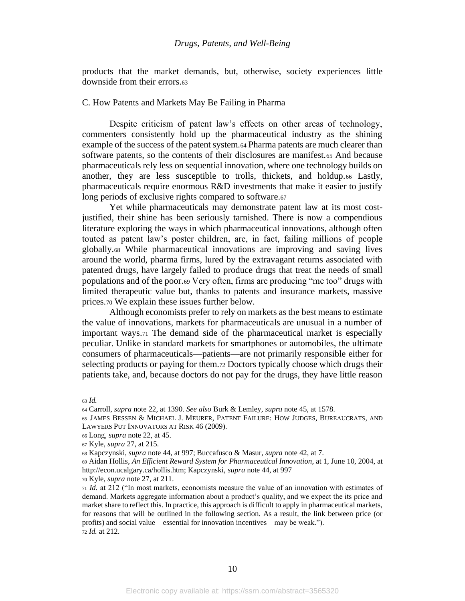products that the market demands, but, otherwise, society experiences little downside from their errors.<sup>63</sup>

## C. How Patents and Markets May Be Failing in Pharma

<span id="page-10-2"></span>Despite criticism of patent law's effects on other areas of technology, commenters consistently hold up the pharmaceutical industry as the shining example of the success of the patent system.<sup>64</sup> Pharma patents are much clearer than software patents, so the contents of their disclosures are manifest.<sup>65</sup> And because pharmaceuticals rely less on sequential innovation, where one technology builds on another, they are less susceptible to trolls, thickets, and holdup.<sup>66</sup> Lastly, pharmaceuticals require enormous R&D investments that make it easier to justify long periods of exclusive rights compared to software.<sup>67</sup>

Yet while pharmaceuticals may demonstrate patent law at its most costjustified, their shine has been seriously tarnished. There is now a compendious literature exploring the ways in which pharmaceutical innovations, although often touted as patent law's poster children, are, in fact, failing millions of people globally.<sup>68</sup> While pharmaceutical innovations are improving and saving lives around the world, pharma firms, lured by the extravagant returns associated with patented drugs, have largely failed to produce drugs that treat the needs of small populations and of the poor.<sup>69</sup> Very often, firms are producing "me too" drugs with limited therapeutic value but, thanks to patents and insurance markets, massive prices.<sup>70</sup> We explain these issues further below.

<span id="page-10-1"></span><span id="page-10-0"></span>Although economists prefer to rely on markets as the best means to estimate the value of innovations, markets for pharmaceuticals are unusual in a number of important ways.<sup>71</sup> The demand side of the pharmaceutical market is especially peculiar. Unlike in standard markets for smartphones or automobiles, the ultimate consumers of pharmaceuticals—patients—are not primarily responsible either for selecting products or paying for them.<sup>72</sup> Doctors typically choose which drugs their patients take, and, because doctors do not pay for the drugs, they have little reason

<sup>63</sup> *Id.*

<sup>64</sup> Carroll, *supra* not[e 22,](#page-5-1) at 1390. *See also* Burk & Lemley, *supra* note [45,](#page-8-0) at 1578.

<sup>65</sup> JAMES BESSEN & MICHAEL J. MEURER, PATENT FAILURE: HOW JUDGES, BUREAUCRATS, AND LAWYERS PUT INNOVATORS AT RISK 46 (2009).

<sup>66</sup> Long, *supra* note [22,](#page-5-1) at 45.

<sup>67</sup> Kyle, *supra* [27,](#page-6-0) at 215.

<sup>68</sup> Kapczynski, *supra* not[e 44,](#page-8-4) at 997; Buccafusco & Masur, *supra* note [42,](#page-7-2) at 7.

<sup>69</sup> Aidan Hollis, *An Efficient Reward System for Pharmaceutical Innovation*, at 1, June 10, 2004, at http://econ.ucalgary.ca/hollis.htm; Kapczynski, *supra* not[e 44,](#page-8-4) at 997

<sup>70</sup> Kyle, *supra* not[e 27,](#page-6-0) at 211.

<sup>71</sup> *Id.* at 212 ("In most markets, economists measure the value of an innovation with estimates of demand. Markets aggregate information about a product's quality, and we expect the its price and market share to reflect this. In practice, this approach is difficult to apply in pharmaceutical markets, for reasons that will be outlined in the following section. As a result, the link between price (or profits) and social value—essential for innovation incentives—may be weak."). <sup>72</sup> *Id.* at 212.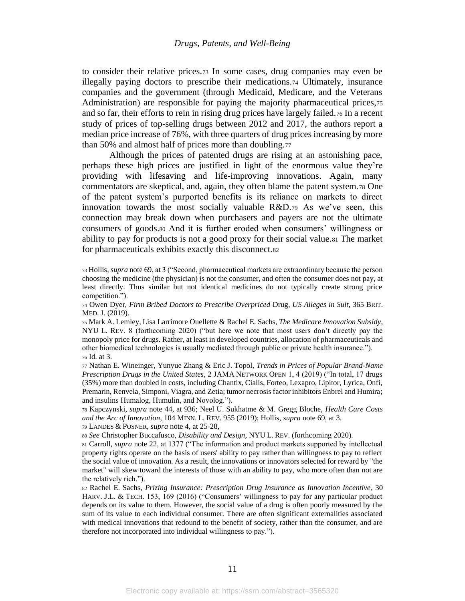<span id="page-11-0"></span>to consider their relative prices.<sup>73</sup> In some cases, drug companies may even be illegally paying doctors to prescribe their medications.<sup>74</sup> Ultimately, insurance companies and the government (through Medicaid, Medicare, and the Veterans Administration) are responsible for paying the majority pharmaceutical prices,<sup>75</sup> and so far, their efforts to rein in rising drug prices have largely failed.<sup>76</sup> In a recent study of prices of top-selling drugs between 2012 and 2017, the authors report a median price increase of 76%, with three quarters of drug prices increasing by more than 50% and almost half of prices more than doubling.<sup>77</sup>

<span id="page-11-2"></span><span id="page-11-1"></span>Although the prices of patented drugs are rising at an astonishing pace, perhaps these high prices are justified in light of the enormous value they're providing with lifesaving and life-improving innovations. Again, many commentators are skeptical, and, again, they often blame the patent system.<sup>78</sup> One of the patent system's purported benefits is its reliance on markets to direct innovation towards the most socially valuable R&D.<sup>79</sup> As we've seen, this connection may break down when purchasers and payers are not the ultimate consumers of goods.<sup>80</sup> And it is further eroded when consumers' willingness or ability to pay for products is not a good proxy for their social value.<sup>81</sup> The market for pharmaceuticals exhibits exactly this disconnect.<sup>82</sup>

<sup>74</sup> Owen Dyer, *Firm Bribed Doctors to Prescribe Overpriced* Drug, *US Alleges in Suit*, 365 BRIT. MED. J. (2019).

<sup>75</sup> Mark A. Lemley, Lisa Larrimore Ouellette & Rachel E. Sachs, *The Medicare Innovation Subsidy*, NYU L. REV. 8 (forthcoming 2020) ("but here we note that most users don't directly pay the monopoly price for drugs. Rather, at least in developed countries, allocation of pharmaceuticals and other biomedical technologies is usually mediated through public or private health insurance."). <sup>76</sup> Id. at 3.

<sup>77</sup> Nathan E. Wineinger, Yunyue Zhang & Eric J. Topol, *Trends in Prices of Popular Brand-Name Prescription Drugs in the United States*, 2 JAMA NETWORK OPEN 1, 4 (2019) ("In total, 17 drugs (35%) more than doubled in costs, including Chantix, Cialis, Forteo, Lexapro, Lipitor, Lyrica, Onfi, Premarin, Renvela, Simponi, Viagra, and Zetia; tumor necrosis factor inhibitors Enbrel and Humira; and insulins Humalog, Humulin, and Novolog.").

<sup>78</sup> Kapczynski, *supra* note [44,](#page-8-4) at 936; Neel U. Sukhatme & M. Gregg Bloche, *Health Care Costs and the Arc of Innovation,* 104 MINN. L. REV. 955 (2019); Hollis, *supra* not[e 69,](#page-10-0) at 3.

<sup>79</sup> LANDES & POSNER, *supra* not[e 4,](#page-2-0) at 25-28,

<sup>80</sup> *See* Christopher Buccafusco, *Disability and Design*, NYU L. REV. (forthcoming 2020).

<sup>81</sup> Carroll, *supra* note [22,](#page-5-1) at 1377 ("The information and product markets supported by intellectual property rights operate on the basis of users' ability to pay rather than willingness to pay to reflect the social value of innovation. As a result, the innovations or innovators selected for reward by "the market" will skew toward the interests of those with an ability to pay, who more often than not are the relatively rich.").

<sup>82</sup> Rachel E. Sachs, *Prizing Insurance: Prescription Drug Insurance as Innovation Incentive*, 30 HARV. J.L. & TECH. 153, 169 (2016) ("Consumers' willingness to pay for any particular product depends on its value to them. However, the social value of a drug is often poorly measured by the sum of its value to each individual consumer. There are often significant externalities associated with medical innovations that redound to the benefit of society, rather than the consumer, and are therefore not incorporated into individual willingness to pay.").

<sup>73</sup> Hollis, *supra* not[e 69,](#page-10-0) at 3 ("Second, pharmaceutical markets are extraordinary because the person choosing the medicine (the physician) is not the consumer, and often the consumer does not pay, at least directly. Thus similar but not identical medicines do not typically create strong price competition.").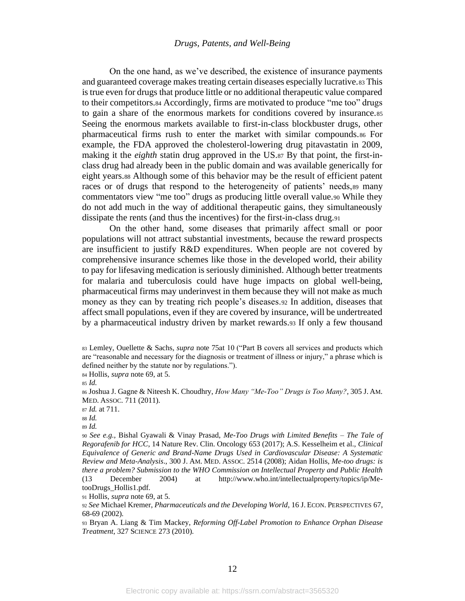<span id="page-12-1"></span>On the one hand, as we've described, the existence of insurance payments and guaranteed coverage makes treating certain diseases especially lucrative.<sup>83</sup> This is true even for drugs that produce little or no additional therapeutic value compared to their competitors.<sup>84</sup> Accordingly, firms are motivated to produce "me too" drugs to gain a share of the enormous markets for conditions covered by insurance.<sup>85</sup> Seeing the enormous markets available to first-in-class blockbuster drugs, other pharmaceutical firms rush to enter the market with similar compounds.<sup>86</sup> For example, the FDA approved the cholesterol-lowering drug pitavastatin in 2009, making it the *eighth* statin drug approved in the US.<sup>87</sup> By that point, the first-inclass drug had already been in the public domain and was available generically for eight years.<sup>88</sup> Although some of this behavior may be the result of efficient patent races or of drugs that respond to the heterogeneity of patients' needs,<sup>89</sup> many commentators view "me too" drugs as producing little overall value.<sup>90</sup> While they do not add much in the way of additional therapeutic gains, they simultaneously dissipate the rents (and thus the incentives) for the first-in-class drug.<sup>91</sup>

<span id="page-12-0"></span>On the other hand, some diseases that primarily affect small or poor populations will not attract substantial investments, because the reward prospects are insufficient to justify R&D expenditures. When people are not covered by comprehensive insurance schemes like those in the developed world, their ability to pay for lifesaving medication is seriously diminished. Although better treatments for malaria and tuberculosis could have huge impacts on global well-being, pharmaceutical firms may underinvest in them because they will not make as much money as they can by treating rich people's diseases.<sup>92</sup> In addition, diseases that affect small populations, even if they are covered by insurance, will be undertreated by a pharmaceutical industry driven by market rewards.<sup>93</sup> If only a few thousand

<sup>84</sup> Hollis, *supra* not[e 69,](#page-10-0) at 5.

<sup>85</sup> *Id.*

<sup>91</sup> Hollis, *supra* not[e 69,](#page-10-0) at 5.

<sup>83</sup> Lemley, Ouellette & Sachs, *supra* note [75a](#page-11-0)t 10 ("Part B covers all services and products which are "reasonable and necessary for the diagnosis or treatment of illness or injury," a phrase which is defined neither by the statute nor by regulations.").

<sup>86</sup> Joshua J. Gagne & Niteesh K. Choudhry, *How Many "Me-Too" Drugs is Too Many?*, 305 J. AM. MED. ASSOC. 711 (2011).

<sup>87</sup> *Id.* at 711.

<sup>88</sup> *Id.*

<sup>89</sup> *Id.*

<sup>90</sup> *See e.g.,* Bishal Gyawali & Vinay Prasad, *Me-Too Drugs with Limited Benefits – The Tale of Regorafenib for HCC*, 14 Nature Rev. Clin. Oncology 653 (2017); A.S. Kesselheim et al., *Clinical Equivalence of Generic and Brand-Name Drugs Used in Cardiovascular Disease: A Systematic Review and Meta-Analysis*., 300 J. AM. MED. ASSOC. 2514 (2008); Aidan Hollis, *Me-too drugs: is there a problem? Submission to the WHO Commission on Intellectual Property and Public Health* (13 December 2004) at http://www.who.int/intellectualproperty/topics/ip/MetooDrugs\_Hollis1.pdf.

<sup>92</sup> *See* Michael Kremer, *Pharmaceuticals and the Developing World*, 16 J. ECON.PERSPECTIVES 67, 68-69 (2002).

<sup>93</sup> Bryan A. Liang & Tim Mackey, *Reforming Off-Label Promotion to Enhance Orphan Disease Treatment*, 327 SCIENCE 273 (2010).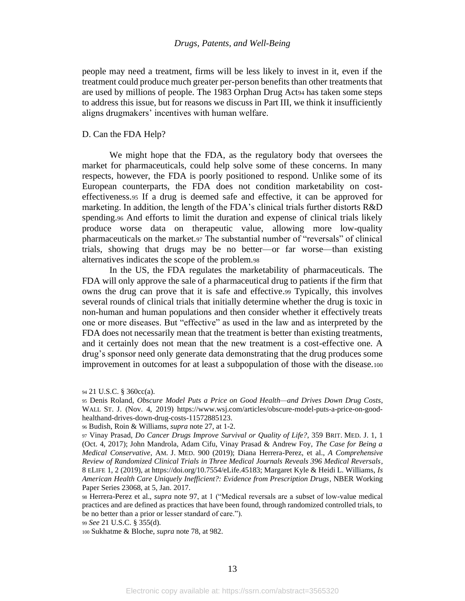people may need a treatment, firms will be less likely to invest in it, even if the treatment could produce much greater per-person benefits than other treatments that are used by millions of people. The 1983 Orphan Drug Act<sup>94</sup> has taken some steps to address this issue, but for reasons we discuss in Part III, we think it insufficiently aligns drugmakers' incentives with human welfare.

#### D. Can the FDA Help?

We might hope that the FDA, as the regulatory body that oversees the market for pharmaceuticals, could help solve some of these concerns. In many respects, however, the FDA is poorly positioned to respond. Unlike some of its European counterparts, the FDA does not condition marketability on costeffectiveness.<sup>95</sup> If a drug is deemed safe and effective, it can be approved for marketing. In addition, the length of the FDA's clinical trials further distorts R&D spending.<sup>96</sup> And efforts to limit the duration and expense of clinical trials likely produce worse data on therapeutic value, allowing more low-quality pharmaceuticals on the market.<sup>97</sup> The substantial number of "reversals" of clinical trials, showing that drugs may be no better—or far worse—than existing alternatives indicates the scope of the problem.<sup>98</sup>

<span id="page-13-0"></span>In the US, the FDA regulates the marketability of pharmaceuticals. The FDA will only approve the sale of a pharmaceutical drug to patients if the firm that owns the drug can prove that it is safe and effective.<sup>99</sup> Typically, this involves several rounds of clinical trials that initially determine whether the drug is toxic in non-human and human populations and then consider whether it effectively treats one or more diseases. But "effective" as used in the law and as interpreted by the FDA does not necessarily mean that the treatment is better than existing treatments, and it certainly does not mean that the new treatment is a cost-effective one. A drug's sponsor need only generate data demonstrating that the drug produces some improvement in outcomes for at least a subpopulation of those with the disease.<sup>100</sup>

<sup>99</sup> *See* 21 U.S.C. § 355(d).

<sup>100</sup> Sukhatme & Bloche, *supra* not[e 78,](#page-11-1) at 982.

<sup>94</sup> 21 U.S.C. § 360cc(a).

<sup>95</sup> Denis Roland, *Obscure Model Puts a Price on Good Health—and Drives Down Drug Costs*, WALL ST. J. (Nov. 4, 2019) https://www.wsj.com/articles/obscure-model-puts-a-price-on-goodhealthand-drives-down-drug-costs-11572885123.

<sup>96</sup> Budish, Roin & Williams, *supra* not[e 27,](#page-6-0) at 1-2.

<sup>97</sup> Vinay Prasad, *Do Cancer Drugs Improve Survival or Quality of Life?*, 359 BRIT. MED. J. 1, 1 (Oct. 4, 2017); John Mandrola, Adam Cifu, Vinay Prasad & Andrew Foy, *The Case for Being a Medical Conservative*, AM. J. MED. 900 (2019); Diana Herrera-Perez, et al., *A Comprehensive Review of Randomized Clinical Trials in Three Medical Journals Reveals 396 Medical Reversals*, 8 ELIFE 1, 2 (2019), at https://doi.org/10.7554/eLife.45183; Margaret Kyle & Heidi L. Williams, *Is American Health Care Uniquely Inefficient?: Evidence from Prescription Drugs*, NBER Working Paper Series 23068, at 5, Jan. 2017.

<sup>98</sup> Herrera-Perez et al., *supra* note [97,](#page-13-0) at 1 ("Medical reversals are a subset of low-value medical practices and are defined as practices that have been found, through randomized controlled trials, to be no better than a prior or lesser standard of care.").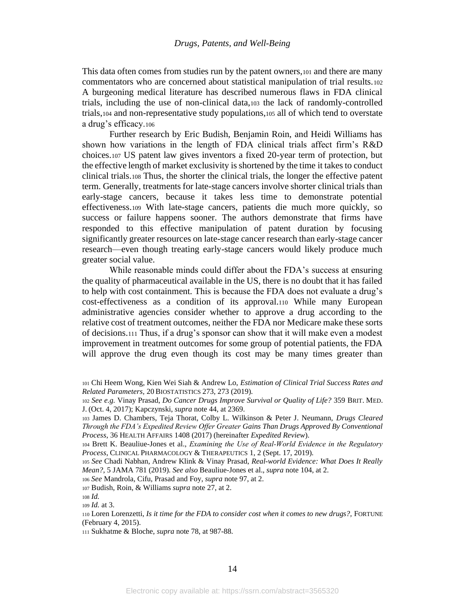<span id="page-14-3"></span><span id="page-14-2"></span>This data often comes from studies run by the patent owners,<sup>101</sup> and there are many commentators who are concerned about statistical manipulation of trial results.<sup>102</sup> A burgeoning medical literature has described numerous flaws in FDA clinical trials, including the use of non-clinical data,<sup>103</sup> the lack of randomly-controlled trials,<sup>104</sup> and non-representative study populations,<sup>105</sup> all of which tend to overstate a drug's efficacy.<sup>106</sup>

<span id="page-14-1"></span><span id="page-14-0"></span>Further research by Eric Budish, Benjamin Roin, and Heidi Williams has shown how variations in the length of FDA clinical trials affect firm's R&D choices.<sup>107</sup> US patent law gives inventors a fixed 20-year term of protection, but the effective length of market exclusivity is shortened by the time it takes to conduct clinical trials.<sup>108</sup> Thus, the shorter the clinical trials, the longer the effective patent term. Generally, treatments for late-stage cancers involve shorter clinical trials than early-stage cancers, because it takes less time to demonstrate potential effectiveness.<sup>109</sup> With late-stage cancers, patients die much more quickly, so success or failure happens sooner. The authors demonstrate that firms have responded to this effective manipulation of patent duration by focusing significantly greater resources on late-stage cancer research than early-stage cancer research—even though treating early-stage cancers would likely produce much greater social value.

While reasonable minds could differ about the FDA's success at ensuring the quality of pharmaceutical available in the US, there is no doubt that it has failed to help with cost containment. This is because the FDA does not evaluate a drug's cost-effectiveness as a condition of its approval.<sup>110</sup> While many European administrative agencies consider whether to approve a drug according to the relative cost of treatment outcomes, neither the FDA nor Medicare make these sorts of decisions.<sup>111</sup> Thus, if a drug's sponsor can show that it will make even a modest improvement in treatment outcomes for some group of potential patients, the FDA will approve the drug even though its cost may be many times greater than

<sup>101</sup> Chi Heem Wong, Kien Wei Siah & Andrew Lo, *Estimation of Clinical Trial Success Rates and Related Parameters,* 20 BIOSTATISTICS 273, 273 (2019).

<sup>102</sup> *See e.g.* Vinay Prasad, *Do Cancer Drugs Improve Survival or Quality of Life?* 359 BRIT. MED. J. (Oct. 4, 2017); Kapczynski, *supra* note [44,](#page-8-4) at 2369.

<sup>103</sup> James D. Chambers, Teja Thorat, Colby L. Wilkinson & Peter J. Neumann, *Drugs Cleared Through the FDA's Expedited Review Offer Greater Gains Than Drugs Approved By Conventional Process*, 36 HEALTH AFFAIRS 1408 (2017) (hereinafter *Expedited Review*).

<sup>104</sup> Brett K. Beauliue-Jones et al., *Examining the Use of Real‐World Evidence in the Regulatory Process*, CLINICAL PHARMACOLOGY & THERAPEUTICS 1, 2 (Sept. 17, 2019).

<sup>105</sup> *See* Chadi Nabhan, Andrew Klink & Vinay Prasad, *Real-world Evidence: What Does It Really Mean?*, 5 JAMA 781 (2019). *See also* Beauliue-Jones et al., *supra* not[e 104,](#page-14-0) at 2.

<sup>106</sup> *See* Mandrola, Cifu, Prasad and Foy, *supra* note [97,](#page-13-0) at 2.

<sup>107</sup> Budish, Roin, & Williams *supra* not[e 27,](#page-6-0) at 2.

<sup>108</sup> *Id.*

<sup>109</sup> *Id.* at 3.

<sup>110</sup> Loren Lorenzetti, *Is it time for the FDA to consider cost when it comes to new drugs?,* FORTUNE (February 4, 2015).

<sup>111</sup> Sukhatme & Bloche, *supra* not[e 78,](#page-11-1) at 987-88.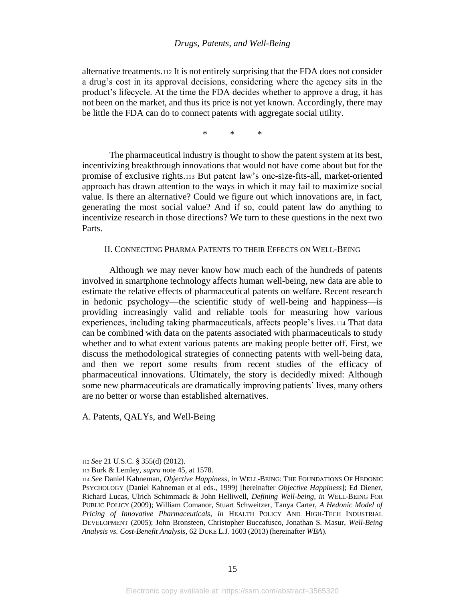alternative treatments.<sup>112</sup> It is not entirely surprising that the FDA does not consider a drug's cost in its approval decisions, considering where the agency sits in the product's lifecycle. At the time the FDA decides whether to approve a drug, it has not been on the market, and thus its price is not yet known. Accordingly, there may be little the FDA can do to connect patents with aggregate social utility.

<span id="page-15-0"></span>\* \* \*

The pharmaceutical industry is thought to show the patent system at its best, incentivizing breakthrough innovations that would not have come about but for the promise of exclusive rights.<sup>113</sup> But patent law's one-size-fits-all, market-oriented approach has drawn attention to the ways in which it may fail to maximize social value. Is there an alternative? Could we figure out which innovations are, in fact, generating the most social value? And if so, could patent law do anything to incentivize research in those directions? We turn to these questions in the next two Parts.

## II. CONNECTING PHARMA PATENTS TO THEIR EFFECTS ON WELL-BEING

Although we may never know how much each of the hundreds of patents involved in smartphone technology affects human well-being, new data are able to estimate the relative effects of pharmaceutical patents on welfare. Recent research in hedonic psychology—the scientific study of well-being and happiness—is providing increasingly valid and reliable tools for measuring how various experiences, including taking pharmaceuticals, affects people's lives.<sup>114</sup> That data can be combined with data on the patents associated with pharmaceuticals to study whether and to what extent various patents are making people better off. First, we discuss the methodological strategies of connecting patents with well-being data, and then we report some results from recent studies of the efficacy of pharmaceutical innovations. Ultimately, the story is decidedly mixed: Although some new pharmaceuticals are dramatically improving patients' lives, many others are no better or worse than established alternatives.

A. Patents, QALYs, and Well-Being

<sup>112</sup> *See* 21 U.S.C. § 355(d) (2012).

<sup>113</sup> Burk & Lemley, *supra* not[e 45,](#page-8-0) at 1578.

<sup>114</sup> *See* Daniel Kahneman, *Objective Happiness*, *in* WELL-BEING: THE FOUNDATIONS OF HEDONIC PSYCHOLOGY (Daniel Kahneman et al eds., 1999) [hereinafter *Objective Happiness*]; Ed Diener, Richard Lucas, Ulrich Schimmack & John Helliwell, *Defining Well-being*, *in* WELL-BEING FOR PUBLIC POLICY (2009); William Comanor, Stuart Schweitzer, Tanya Carter, *A Hedonic Model of Pricing of Innovative Pharmaceuticals, in* HEALTH POLICY AND HIGH-TECH INDUSTRIAL DEVELOPMENT (2005); John Bronsteen, Christopher Buccafusco, Jonathan S. Masur, *Well-Being Analysis vs. Cost-Benefit Analysis*, 62 DUKE L.J. 1603 (2013) (hereinafter *WBA*).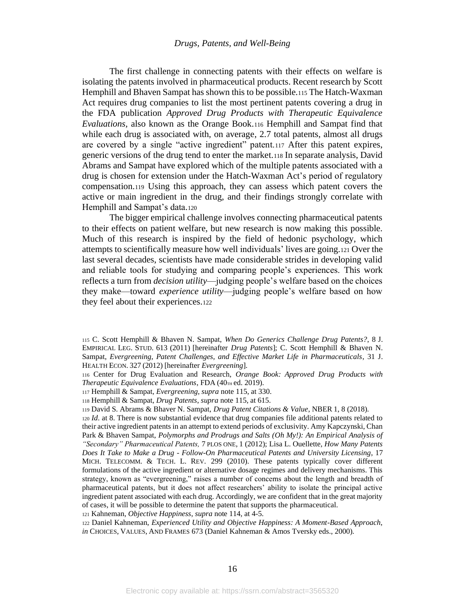<span id="page-16-2"></span><span id="page-16-0"></span>The first challenge in connecting patents with their effects on welfare is isolating the patents involved in pharmaceutical products. Recent research by Scott Hemphill and Bhaven Sampat has shown this to be possible.<sup>115</sup> The Hatch-Waxman Act requires drug companies to list the most pertinent patents covering a drug in the FDA publication *Approved Drug Products with Therapeutic Equivalence Evaluations,* also known as the Orange Book.<sup>116</sup> Hemphill and Sampat find that while each drug is associated with, on average, 2.7 total patents, almost all drugs are covered by a single "active ingredient" patent.<sup>117</sup> After this patent expires, generic versions of the drug tend to enter the market.<sup>118</sup> In separate analysis, David Abrams and Sampat have explored which of the multiple patents associated with a drug is chosen for extension under the Hatch-Waxman Act's period of regulatory compensation.<sup>119</sup> Using this approach, they can assess which patent covers the active or main ingredient in the drug, and their findings strongly correlate with Hemphill and Sampat's data.<sup>120</sup>

<span id="page-16-1"></span>The bigger empirical challenge involves connecting pharmaceutical patents to their effects on patient welfare, but new research is now making this possible. Much of this research is inspired by the field of hedonic psychology, which attempts to scientifically measure how well individuals' lives are going.<sup>121</sup> Over the last several decades, scientists have made considerable strides in developing valid and reliable tools for studying and comparing people's experiences. This work reflects a turn from *decision utility*—judging people's welfare based on the choices they make—toward *experience utility*—judging people's welfare based on how they feel about their experiences.<sup>122</sup>

<sup>117</sup> Hemphill & Sampat, *Evergreening*, *supra* not[e 115,](#page-16-2) at 330.

<sup>119</sup> David S. Abrams & Bhaver N. Sampat, *Drug Patent Citations & Value*, NBER 1, 8 (2018).

<sup>120</sup> *Id*. at 8. There is now substantial evidence that drug companies file additional patents related to their active ingredient patents in an attempt to extend periods of exclusivity. Amy Kapczynski, Chan Park & Bhaven Sampat, *Polymorphs and Prodrugs and Salts (Oh My!): An Empirical Analysis of "Secondary" Pharmaceutical Patents,* 7 PLOS ONE, 1 (2012); Lisa L. Ouellette, *How Many Patents Does It Take to Make a Drug - Follow-On Pharmaceutical Patents and University Licensing*, 17 MICH. TELECOMM. & TECH. L. REV. 299 (2010). These patents typically cover different formulations of the active ingredient or alternative dosage regimes and delivery mechanisms. This strategy, known as "evergreening," raises a number of concerns about the length and breadth of pharmaceutical patents, but it does not affect researchers' ability to isolate the principal active ingredient patent associated with each drug. Accordingly, we are confident that in the great majority of cases, it will be possible to determine the patent that supports the pharmaceutical.

<sup>121</sup> Kahneman, *Objective Happiness*, *supra* not[e 114,](#page-15-0) at 4-5.

<sup>122</sup> Daniel Kahneman, *Experienced Utility and Objective Happiness: A Moment-Based Approach*, *in* CHOICES, VALUES, AND FRAMES 673 (Daniel Kahneman & Amos Tversky eds., 2000).

<sup>115</sup> C. Scott Hemphill & Bhaven N. Sampat, *When Do Generics Challenge Drug Patents?*, 8 J. EMPIRICAL LEG. STUD. 613 (2011) [hereinafter *Drug Patents*]; C. Scott Hemphill & Bhaven N. Sampat, *Evergreening, Patent Challenges, and Effective Market Life in Pharmaceuticals*, 31 J. HEALTH ECON. 327 (2012) [hereinafter *Evergreening*].

<sup>116</sup> Center for Drug Evaluation and Research, *Orange Book: Approved Drug Products with Therapeutic Equivalence Evaluations*, FDA (40TH ed. 2019).

<sup>118</sup> Hemphill & Sampat, *Drug Patents*, *supra* not[e 115,](#page-16-2) at 615.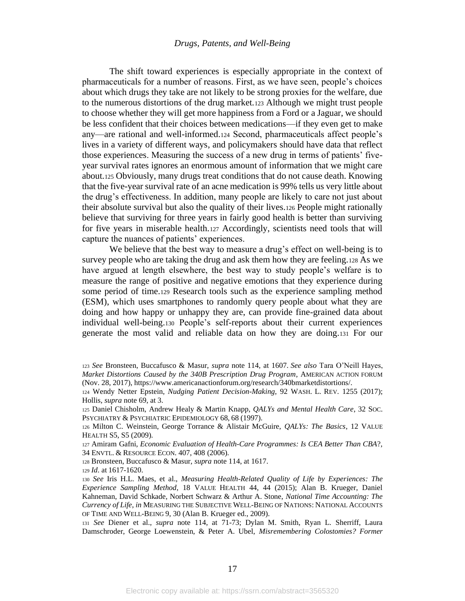The shift toward experiences is especially appropriate in the context of pharmaceuticals for a number of reasons. First, as we have seen, people's choices about which drugs they take are not likely to be strong proxies for the welfare, due to the numerous distortions of the drug market.<sup>123</sup> Although we might trust people to choose whether they will get more happiness from a Ford or a Jaguar, we should be less confident that their choices between medications—if they even get to make any—are rational and well-informed.<sup>124</sup> Second, pharmaceuticals affect people's lives in a variety of different ways, and policymakers should have data that reflect those experiences. Measuring the success of a new drug in terms of patients' fiveyear survival rates ignores an enormous amount of information that we might care about.<sup>125</sup> Obviously, many drugs treat conditions that do not cause death. Knowing that the five-year survival rate of an acne medication is 99% tells us very little about the drug's effectiveness. In addition, many people are likely to care not just about their absolute survival but also the quality of their lives.<sup>126</sup> People might rationally believe that surviving for three years in fairly good health is better than surviving for five years in miserable health.<sup>127</sup> Accordingly, scientists need tools that will capture the nuances of patients' experiences.

<span id="page-17-1"></span>We believe that the best way to measure a drug's effect on well-being is to survey people who are taking the drug and ask them how they are feeling.<sup>128</sup> As we have argued at length elsewhere, the best way to study people's welfare is to measure the range of positive and negative emotions that they experience during some period of time.<sup>129</sup> Research tools such as the experience sampling method (ESM), which uses smartphones to randomly query people about what they are doing and how happy or unhappy they are, can provide fine-grained data about individual well-being.<sup>130</sup> People's self-reports about their current experiences generate the most valid and reliable data on how they are doing.<sup>131</sup> For our

<span id="page-17-0"></span><sup>123</sup> *See* Bronsteen, Buccafusco & Masur, *supra* note [114,](#page-15-0) at 1607. *See also* Tara O'Neill Hayes, *Market Distortions Caused by the 340B Prescription Drug Program*, AMERICAN ACTION FORUM (Nov. 28, 2017), https://www.americanactionforum.org/research/340bmarketdistortions/.

<sup>124</sup> Wendy Netter Epstein, *Nudging Patient Decision-Making*, 92 WASH. L. REV. 1255 (2017); Hollis, *supra* not[e 69,](#page-10-0) at 3.

<sup>125</sup> Daniel Chisholm, Andrew Healy & Martin Knapp, *QALYs and Mental Health Care*, 32 SOC. PSYCHIATRY & PSYCHIATRIC EPIDEMIOLOGY 68, 68 (1997).

<sup>126</sup> Milton C. Weinstein, George Torrance & Alistair McGuire, *QALYs: The Basics*, 12 VALUE HEALTH S5, S5 (2009).

<sup>127</sup> Amiram Gafni, *Economic Evaluation of Health-Care Programmes: Is CEA Better Than CBA*?, 34 ENVTL. & RESOURCE ECON. 407, 408 (2006).

<sup>128</sup> Bronsteen, Buccafusco & Masur, *supra* note [114,](#page-15-0) at 1617.

<sup>129</sup> *Id*. at 1617-1620.

<sup>130</sup> *See* Iris H.L. Maes, et al., *Measuring Health-Related Quality of Life by Experiences: The Experience Sampling Method*, 18 VALUE HEALTH 44, 44 (2015); Alan B. Krueger, Daniel Kahneman, David Schkade, Norbert Schwarz & Arthur A. Stone, *National Time Accounting: The Currency of Life*, *in* MEASURING THE SUBJECTIVE WELL-BEING OF NATIONS: NATIONAL ACCOUNTS OF TIME AND WELL-BEING 9, 30 (Alan B. Krueger ed., 2009).

<sup>131</sup> *See* Diener et al., *supra* note [114,](#page-15-0) at 71-73; Dylan M. Smith, Ryan L. Sherriff, Laura Damschroder, George Loewenstein, & Peter A. Ubel, *Misremembering Colostomies? Former*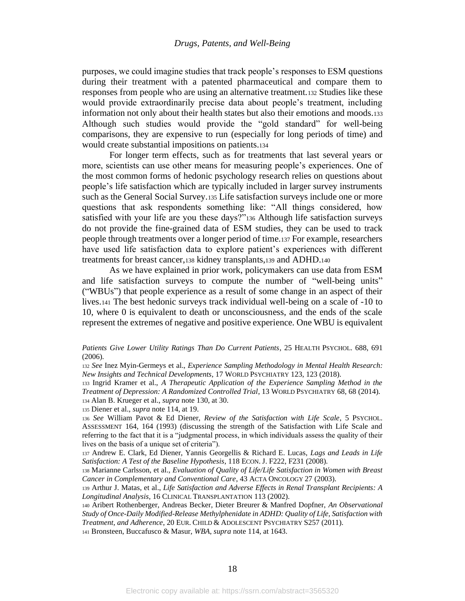purposes, we could imagine studies that track people's responses to ESM questions during their treatment with a patented pharmaceutical and compare them to responses from people who are using an alternative treatment.<sup>132</sup> Studies like these would provide extraordinarily precise data about people's treatment, including information not only about their health states but also their emotions and moods.<sup>133</sup> Although such studies would provide the "gold standard" for well-being comparisons, they are expensive to run (especially for long periods of time) and would create substantial impositions on patients.<sup>134</sup>

For longer term effects, such as for treatments that last several years or more, scientists can use other means for measuring people's experiences. One of the most common forms of hedonic psychology research relies on questions about people's life satisfaction which are typically included in larger survey instruments such as the General Social Survey.<sup>135</sup> Life satisfaction surveys include one or more questions that ask respondents something like: "All things considered, how satisfied with your life are you these days?"<sup>136</sup> Although life satisfaction surveys do not provide the fine-grained data of ESM studies, they can be used to track people through treatments over a longer period of time.<sup>137</sup> For example, researchers have used life satisfaction data to explore patient's experiences with different treatments for breast cancer,<sup>138</sup> kidney transplants,<sup>139</sup> and ADHD.<sup>140</sup>

<span id="page-18-1"></span><span id="page-18-0"></span>As we have explained in prior work, policymakers can use data from ESM and life satisfaction surveys to compute the number of "well-being units" ("WBUs") that people experience as a result of some change in an aspect of their lives.<sup>141</sup> The best hedonic surveys track individual well-being on a scale of -10 to 10, where 0 is equivalent to death or unconsciousness, and the ends of the scale represent the extremes of negative and positive experience. One WBU is equivalent

*Patients Give Lower Utility Ratings Than Do Current Patients*, 25 HEALTH PSYCHOL. 688, 691 (2006).

<sup>132</sup> *See* Inez Myin-Germeys et al., *Experience Sampling Methodology in Mental Health Research: New Insights and Technical Developments*, 17 WORLD PSYCHIATRY 123, 123 (2018).

<sup>133</sup> Ingrid Kramer et al., *A Therapeutic Application of the Experience Sampling Method in the Treatment of Depression: A Randomized Controlled Trial*, 13 WORLD PSYCHIATRY 68, 68 (2014). <sup>134</sup> Alan B. Krueger et al., *supra* not[e 130,](#page-17-0) at 30.

<sup>135</sup> Diener et al., *supra* not[e 114,](#page-15-0) at 19.

<sup>136</sup> *See* William Pavot & Ed Diener, *Review of the Satisfaction with Life Scale*, 5 PSYCHOL. ASSESSMENT 164, 164 (1993) (discussing the strength of the Satisfaction with Life Scale and referring to the fact that it is a "judgmental process, in which individuals assess the quality of their lives on the basis of a unique set of criteria").

<sup>137</sup> Andrew E. Clark, Ed Diener, Yannis Georgellis & Richard E. Lucas, *Lags and Leads in Life Satisfaction: A Test of the Baseline Hypothesis*, 118 ECON. J. F222, F231 (2008).

<sup>138</sup> Marianne Carlsson, et al., *Evaluation of Quality of Life/Life Satisfaction in Women with Breast Cancer in Complementary and Conventional Care*, 43 ACTA ONCOLOGY 27 (2003).

<sup>139</sup> Arthur J. Matas, et al., *Life Satisfaction and Adverse Effects in Renal Transplant Recipients: A Longitudinal Analysis*, 16 CLINICAL TRANSPLANTATION 113 (2002).

<sup>140</sup> Aribert Rothenberger, Andreas Becker, Dieter Breurer & Manfred Dopfner, *An Observational Study of Once-Daily Modified-Release Methylphenidate in ADHD: Quality of Life, Satisfaction with Treatment, and Adherence*, 20 EUR. CHILD & ADOLESCENT PSYCHIATRY S257 (2011).

<sup>141</sup> Bronsteen, Buccafusco & Masur, *WBA*, *supra* not[e 114,](#page-15-0) at 1643.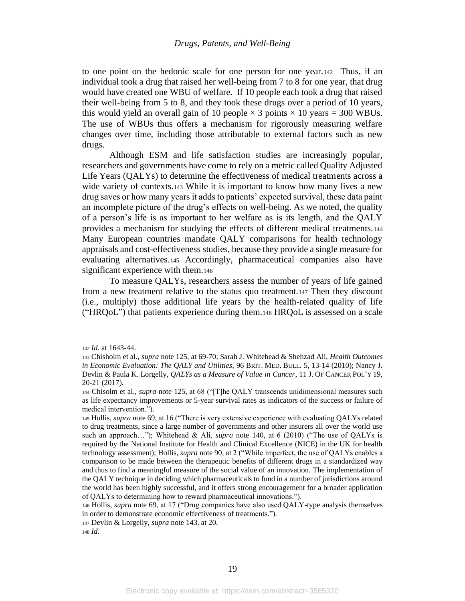<span id="page-19-1"></span>to one point on the hedonic scale for one person for one year.142 Thus, if an individual took a drug that raised her well-being from 7 to 8 for one year, that drug would have created one WBU of welfare. If 10 people each took a drug that raised their well-being from 5 to 8, and they took these drugs over a period of 10 years, this would yield an overall gain of 10 people  $\times$  3 points  $\times$  10 years = 300 WBUs. The use of WBUs thus offers a mechanism for rigorously measuring welfare changes over time, including those attributable to external factors such as new drugs.

<span id="page-19-0"></span>Although ESM and life satisfaction studies are increasingly popular, researchers and governments have come to rely on a metric called Quality Adjusted Life Years (QALYs) to determine the effectiveness of medical treatments across a wide variety of contexts.<sup>143</sup> While it is important to know how many lives a new drug saves or how many years it adds to patients' expected survival, these data paint an incomplete picture of the drug's effects on well-being. As we noted, the quality of a person's life is as important to her welfare as is its length, and the QALY provides a mechanism for studying the effects of different medical treatments.<sup>144</sup> Many European countries mandate QALY comparisons for health technology appraisals and cost-effectiveness studies, because they provide a single measure for evaluating alternatives.<sup>145</sup> Accordingly, pharmaceutical companies also have significant experience with them.<sup>146</sup>

To measure QALYs, researchers assess the number of years of life gained from a new treatment relative to the status quo treatment.<sup>147</sup> Then they discount (i.e., multiply) those additional life years by the health-related quality of life ("HRQoL") that patients experience during them.<sup>148</sup> HRQoL is assessed on a scale

<sup>142</sup> *Id.* at 1643-44.

<sup>143</sup> Chisholm et al., *supra* not[e 125,](#page-17-1) at 69-70; Sarah J. Whitehead & Shehzad Ali, *Health Outcomes in Economic Evaluation: The QALY and Utilities,* 96 BRIT. MED. BULL. 5, 13-14 (2010); Nancy J. Devlin & Paula K. Lorgelly, *QALYs as a Measure of Value in Cancer*, 11 J. OF CANCER POL'Y 19, 20-21 (2017).

<sup>144</sup> Chisolm et al., *supra* not[e 125,](#page-17-1) at 68 ("[T]he QALY transcends unidimensional measures such as life expectancy improvements or 5-year survival rates as indicators of the success or failure of medical intervention.").

<sup>145</sup> Hollis, *supra* note [69,](#page-10-0) at 16 ("There is very extensive experience with evaluating QALYs related to drug treatments, since a large number of governments and other insurers all over the world use such an approach…"); Whitehead & Ali, *supra* note [140,](#page-18-0) at 6 (2010) ("The use of QALYs is required by the National Institute for Health and Clinical Excellence (NICE) in the UK for health technology assessment); Hollis*, supra* not[e 90,](#page-12-0) at 2 ("While imperfect, the use of QALYs enables a comparison to be made between the therapeutic benefits of different drugs in a standardized way and thus to find a meaningful measure of the social value of an innovation. The implementation of the QALY technique in deciding which pharmaceuticals to fund in a number of jurisdictions around the world has been highly successful, and it offers strong encouragement for a broader application of QALYs to determining how to reward pharmaceutical innovations.").

<sup>146</sup> Hollis*, supra* note [69,](#page-10-0) at 17 ("Drug companies have also used QALY-type analysis themselves in order to demonstrate economic effectiveness of treatments.").

<sup>147</sup> Devlin & Lorgelly, *supra* not[e 143,](#page-19-0) at 20.

<sup>148</sup> *Id*.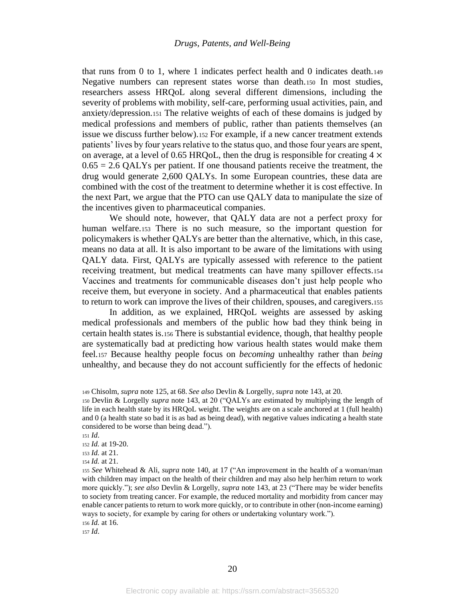that runs from 0 to 1, where 1 indicates perfect health and 0 indicates death.<sup>149</sup> Negative numbers can represent states worse than death.<sup>150</sup> In most studies, researchers assess HRQoL along several different dimensions, including the severity of problems with mobility, self-care, performing usual activities, pain, and anxiety/depression.<sup>151</sup> The relative weights of each of these domains is judged by medical professions and members of public, rather than patients themselves (an issue we discuss further below).<sup>152</sup> For example, if a new cancer treatment extends patients' lives by four years relative to the status quo, and those four years are spent, on average, at a level of 0.65 HRQoL, then the drug is responsible for creating  $4 \times$  $0.65 = 2.6$  QALYs per patient. If one thousand patients receive the treatment, the drug would generate 2,600 QALYs. In some European countries, these data are combined with the cost of the treatment to determine whether it is cost effective. In the next Part, we argue that the PTO can use QALY data to manipulate the size of the incentives given to pharmaceutical companies.

We should note, however, that QALY data are not a perfect proxy for human welfare.<sup>153</sup> There is no such measure, so the important question for policymakers is whether QALYs are better than the alternative, which, in this case, means no data at all. It is also important to be aware of the limitations with using QALY data. First, QALYs are typically assessed with reference to the patient receiving treatment, but medical treatments can have many spillover effects.<sup>154</sup> Vaccines and treatments for communicable diseases don't just help people who receive them, but everyone in society. And a pharmaceutical that enables patients to return to work can improve the lives of their children, spouses, and caregivers.<sup>155</sup>

In addition, as we explained, HRQoL weights are assessed by asking medical professionals and members of the public how bad they think being in certain health states is.<sup>156</sup> There is substantial evidence, though, that healthy people are systematically bad at predicting how various health states would make them feel.<sup>157</sup> Because healthy people focus on *becoming* unhealthy rather than *being* unhealthy, and because they do not account sufficiently for the effects of hedonic

<sup>157</sup> *Id*.

<sup>149</sup> Chisolm, *supra* not[e 125,](#page-17-1) at 68. *See also* Devlin & Lorgelly*, supra* not[e 143,](#page-19-0) at 20.

<sup>150</sup> Devlin & Lorgelly *supra* note [143,](#page-19-0) at 20 ("QALYs are estimated by multiplying the length of life in each health state by its HRQoL weight. The weights are on a scale anchored at 1 (full health) and 0 (a health state so bad it is as bad as being dead), with negative values indicating a health state considered to be worse than being dead.").

<sup>151</sup> *Id*.

<sup>152</sup> *Id.* at 19-20.

<sup>153</sup> *Id.* at 21.

<sup>154</sup> *Id.* at 21.

<sup>155</sup> *See* Whitehead & Ali, *supra* note [140,](#page-18-0) at 17 ("An improvement in the health of a woman/man with children may impact on the health of their children and may also help her/him return to work more quickly."); *see also* Devlin & Lorgelly, *supra* note [143,](#page-19-0) at 23 ("There may be wider benefits to society from treating cancer. For example, the reduced mortality and morbidity from cancer may enable cancer patients to return to work more quickly, or to contribute in other (non-income earning) ways to society, for example by caring for others or undertaking voluntary work."). <sup>156</sup> *Id.* at 16.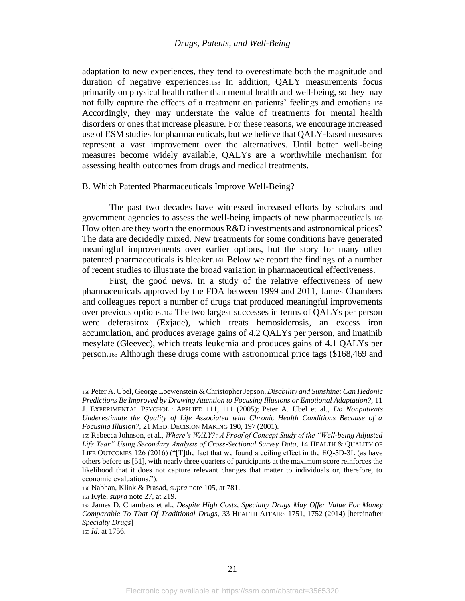adaptation to new experiences, they tend to overestimate both the magnitude and duration of negative experiences.<sup>158</sup> In addition, QALY measurements focus primarily on physical health rather than mental health and well-being, so they may not fully capture the effects of a treatment on patients' feelings and emotions.<sup>159</sup> Accordingly, they may understate the value of treatments for mental health disorders or ones that increase pleasure. For these reasons, we encourage increased use of ESM studies for pharmaceuticals, but we believe that QALY-based measures represent a vast improvement over the alternatives. Until better well-being measures become widely available, QALYs are a worthwhile mechanism for assessing health outcomes from drugs and medical treatments.

#### B. Which Patented Pharmaceuticals Improve Well-Being?

The past two decades have witnessed increased efforts by scholars and government agencies to assess the well-being impacts of new pharmaceuticals.<sup>160</sup> How often are they worth the enormous R&D investments and astronomical prices? The data are decidedly mixed. New treatments for some conditions have generated meaningful improvements over earlier options, but the story for many other patented pharmaceuticals is bleaker.<sup>161</sup> Below we report the findings of a number of recent studies to illustrate the broad variation in pharmaceutical effectiveness.

<span id="page-21-0"></span>First, the good news. In a study of the relative effectiveness of new pharmaceuticals approved by the FDA between 1999 and 2011, James Chambers and colleagues report a number of drugs that produced meaningful improvements over previous options.<sup>162</sup> The two largest successes in terms of QALYs per person were deferasirox (Exjade), which treats hemosiderosis, an excess iron accumulation, and produces average gains of 4.2 QALYs per person, and imatinib mesylate (Gleevec), which treats leukemia and produces gains of 4.1 QALYs per person.<sup>163</sup> Although these drugs come with astronomical price tags (\$168,469 and

<sup>160</sup> Nabhan, Klink & Prasad, *supra* not[e 105,](#page-14-1) at 781.

<sup>161</sup> Kyle, *supra* not[e 27,](#page-6-0) at 219.

<sup>163</sup> *Id*. at 1756.

<sup>158</sup>Peter A. Ubel, George Loewenstein & Christopher Jepson, *Disability and Sunshine: Can Hedonic Predictions Be Improved by Drawing Attention to Focusing Illusions or Emotional Adaptation?,* 11 J. EXPERIMENTAL PSYCHOL.: APPLIED 111, 111 (2005); Peter A. Ubel et al., *Do Nonpatients Underestimate the Quality of Life Associated with Chronic Health Conditions Because of a Focusing Illusion?,* 21 MED. DECISION MAKING 190, 197 (2001).

<sup>159</sup> Rebecca Johnson, et al., *Where's WALY?: A Proof of Concept Study of the "Well-being Adjusted Life Year" Using Secondary Analysis of Cross-Sectional Survey Data*, 14 HEALTH & QUALITY OF LIFE OUTCOMES 126 (2016) ("[T]the fact that we found a ceiling effect in the EQ-5D-3L (as have others before us [51], with nearly three quarters of participants at the maximum score reinforces the likelihood that it does not capture relevant changes that matter to individuals or, therefore, to economic evaluations.").

<sup>162</sup> James D. Chambers et al., *Despite High Costs, Specialty Drugs May Offer Value For Money Comparable To That Of Traditional Drugs,* 33 HEALTH AFFAIRS 1751, 1752 (2014) [hereinafter *Specialty Drugs*]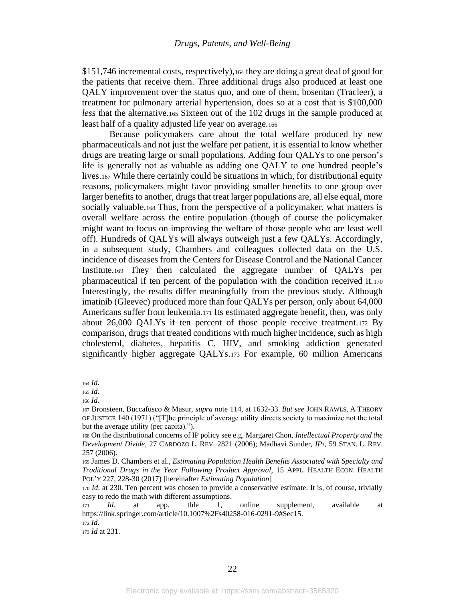\$151,746 incremental costs, respectively),<sup>164</sup> they are doing a great deal of good for the patients that receive them. Three additional drugs also produced at least one QALY improvement over the status quo, and one of them, bosentan (Tracleer), a treatment for pulmonary arterial hypertension, does so at a cost that is \$100,000 *less* that the alternative.<sup>165</sup> Sixteen out of the 102 drugs in the sample produced at least half of a quality adjusted life year on average.<sup>166</sup>

Because policymakers care about the total welfare produced by new pharmaceuticals and not just the welfare per patient, it is essential to know whether drugs are treating large or small populations. Adding four QALYs to one person's life is generally not as valuable as adding one QALY to one hundred people's lives.<sup>167</sup> While there certainly could be situations in which, for distributional equity reasons, policymakers might favor providing smaller benefits to one group over larger benefits to another, drugs that treat larger populations are, all else equal, more socially valuable.<sup>168</sup> Thus, from the perspective of a policymaker, what matters is overall welfare across the entire population (though of course the policymaker might want to focus on improving the welfare of those people who are least well off). Hundreds of QALYs will always outweigh just a few QALYs. Accordingly, in a subsequent study, Chambers and colleagues collected data on the U.S. incidence of diseases from the Centers for Disease Control and the National Cancer Institute.<sup>169</sup> They then calculated the aggregate number of QALYs per pharmaceutical if ten percent of the population with the condition received it.<sup>170</sup> Interestingly, the results differ meaningfully from the previous study. Although imatinib (Gleevec) produced more than four QALYs per person, only about 64,000 Americans suffer from leukemia.<sup>171</sup> Its estimated aggregate benefit, then, was only about 26,000 QALYs if ten percent of those people receive treatment.<sup>172</sup> By comparison, drugs that treated conditions with much higher incidence, such as high cholesterol, diabetes, hepatitis C, HIV, and smoking addiction generated significantly higher aggregate QALYs.<sup>173</sup> For example, 60 million Americans

<sup>173</sup> *Id* at 231.

<span id="page-22-0"></span><sup>164</sup> *Id*.

<sup>165</sup> *Id*.

<sup>166</sup> *Id*.

<sup>167</sup> Bronsteen, Buccafusco & Masur, *supra* not[e 114,](#page-15-0) at 1632-33. *But see* JOHN RAWLS, A THEORY OF JUSTICE 140 (1971) ("[T]he principle of average utility directs society to maximize not the total but the average utility (per capita).").

<sup>168</sup> On the distributional concerns of IP policy see e.g. Margaret Chon, *Intellectual Property and the Development Divide*, 27 CARDOZO L. REV. 2821 (2006); Madhavi Sunder, *IP3*, 59 STAN. L. REV. 257 (2006).

<sup>169</sup> James D. Chambers et al., *Estimating Population Health Benefits Associated with Specialty and Traditional Drugs in the Year Following Product Approval,* 15 APPL. HEALTH ECON. HEALTH POL'Y 227, 228-30 (2017) [hereinafter *Estimating Population*]

<sup>170</sup> *Id*. at 230. Ten percent was chosen to provide a conservative estimate. It is, of course, trivially easy to redo the math with different assumptions.

<sup>171</sup> *Id.* at app. tble 1, online supplement, available at https://link.springer.com/article/10.1007%2Fs40258-016-0291-9#Sec15. <sup>172</sup> *Id*.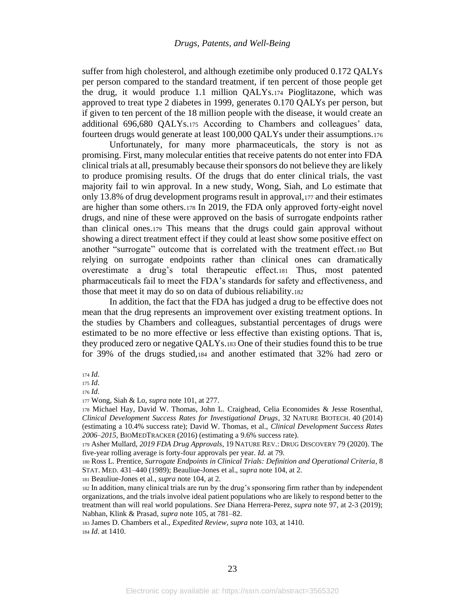suffer from high cholesterol, and although ezetimibe only produced 0.172 QALYs per person compared to the standard treatment, if ten percent of those people get the drug, it would produce 1.1 million QALYs.<sup>174</sup> Pioglitazone, which was approved to treat type 2 diabetes in 1999, generates 0.170 QALYs per person, but if given to ten percent of the 18 million people with the disease, it would create an additional 696,680 QALYs.<sup>175</sup> According to Chambers and colleagues' data, fourteen drugs would generate at least 100,000 QALYs under their assumptions.<sup>176</sup>

Unfortunately, for many more pharmaceuticals, the story is not as promising. First, many molecular entities that receive patents do not enter into FDA clinical trials at all, presumably because their sponsors do not believe they are likely to produce promising results. Of the drugs that do enter clinical trials, the vast majority fail to win approval. In a new study, Wong, Siah, and Lo estimate that only 13.8% of drug development programs result in approval,<sup>177</sup> and their estimates are higher than some others.<sup>178</sup> In 2019, the FDA only approved forty-eight novel drugs, and nine of these were approved on the basis of surrogate endpoints rather than clinical ones.<sup>179</sup> This means that the drugs could gain approval without showing a direct treatment effect if they could at least show some positive effect on another "surrogate" outcome that is correlated with the treatment effect.<sup>180</sup> But relying on surrogate endpoints rather than clinical ones can dramatically overestimate a drug's total therapeutic effect.<sup>181</sup> Thus, most patented pharmaceuticals fail to meet the FDA's standards for safety and effectiveness, and those that meet it may do so on data of dubious reliability.<sup>182</sup>

In addition, the fact that the FDA has judged a drug to be effective does not mean that the drug represents an improvement over existing treatment options. In the studies by Chambers and colleagues, substantial percentages of drugs were estimated to be no more effective or less effective than existing options. That is, they produced zero or negative QALYs.<sup>183</sup> One of their studies found this to be true for 39% of the drugs studied,<sup>184</sup> and another estimated that 32% had zero or

<sup>181</sup> Beauliue-Jones et al., *supra* not[e 104,](#page-14-0) at 2.

<sup>174</sup> *Id*.

<sup>175</sup> *Id*.

<sup>176</sup> *Id*.

<sup>177</sup> Wong, Siah & Lo, *supra* not[e 101,](#page-14-2) at 277.

<sup>178</sup> Michael Hay, David W. Thomas, John L. Craighead, Celia Economides & Jesse Rosenthal, *Clinical Development Success Rates for Investigational Drugs*, 32 NATURE BIOTECH. 40 (2014) (estimating a 10.4% success rate); David W. Thomas, et al., *Clinical Development Success Rates 2006–2015*, BIOMEDTRACKER (2016) (estimating a 9.6% success rate).

<sup>179</sup> Asher Mullard, *2019 FDA Drug Approvals*, 19 NATURE REV.: DRUG DISCOVERY 79 (2020). The five-year rolling average is forty-four approvals per year. *Id.* at 79*.*

<sup>180</sup> Ross L. Prentice, *Surrogate Endpoints in Clinical Trials: Definition and Operational Criteria*, 8 STAT. MED. 431–440 (1989); Beauliue-Jones et al., *supra* not[e 104,](#page-14-0) at 2.

<sup>182</sup> In addition, many clinical trials are run by the drug's sponsoring firm rather than by independent organizations, and the trials involve ideal patient populations who are likely to respond better to the treatment than will real world populations. *See* Diana Herrera-Perez, *supra* note [97,](#page-13-0) at 2-3 (2019); Nabhan, Klink & Prasad, *supra* not[e 105,](#page-14-1) at 781–82.

<sup>183</sup> James D. Chambers et al., *Expedited Review, supra* not[e 103,](#page-14-3) at 1410. <sup>184</sup> *Id*. at 1410.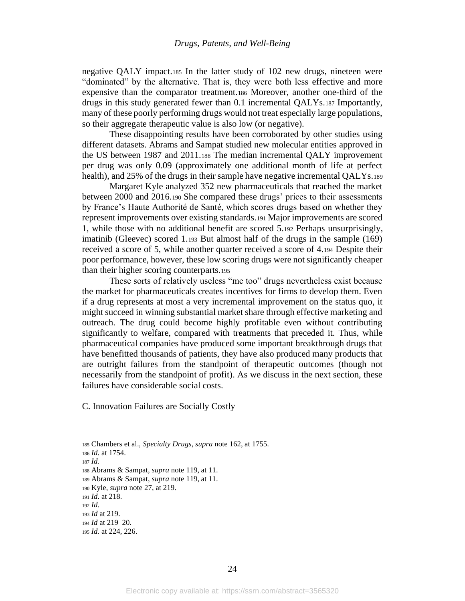negative QALY impact.<sup>185</sup> In the latter study of 102 new drugs, nineteen were "dominated" by the alternative. That is, they were both less effective and more expensive than the comparator treatment.<sup>186</sup> Moreover, another one-third of the drugs in this study generated fewer than 0.1 incremental QALYs.<sup>187</sup> Importantly, many of these poorly performing drugs would not treat especially large populations, so their aggregate therapeutic value is also low (or negative).

These disappointing results have been corroborated by other studies using different datasets. Abrams and Sampat studied new molecular entities approved in the US between 1987 and 2011.<sup>188</sup> The median incremental QALY improvement per drug was only 0.09 (approximately one additional month of life at perfect health), and 25% of the drugs in their sample have negative incremental QALYs.<sup>189</sup>

Margaret Kyle analyzed 352 new pharmaceuticals that reached the market between 2000 and 2016.<sup>190</sup> She compared these drugs' prices to their assessments by France's Haute Authorité de Santé, which scores drugs based on whether they represent improvements over existing standards.<sup>191</sup> Major improvements are scored 1, while those with no additional benefit are scored 5.<sup>192</sup> Perhaps unsurprisingly, imatinib (Gleevec) scored 1.<sup>193</sup> But almost half of the drugs in the sample (169) received a score of 5, while another quarter received a score of 4.<sup>194</sup> Despite their poor performance, however, these low scoring drugs were not significantly cheaper than their higher scoring counterparts.<sup>195</sup>

These sorts of relatively useless "me too" drugs nevertheless exist because the market for pharmaceuticals creates incentives for firms to develop them. Even if a drug represents at most a very incremental improvement on the status quo, it might succeed in winning substantial market share through effective marketing and outreach. The drug could become highly profitable even without contributing significantly to welfare, compared with treatments that preceded it. Thus, while pharmaceutical companies have produced some important breakthrough drugs that have benefitted thousands of patients, they have also produced many products that are outright failures from the standpoint of therapeutic outcomes (though not necessarily from the standpoint of profit). As we discuss in the next section, these failures have considerable social costs.

C. Innovation Failures are Socially Costly

 Chambers et al., *Specialty Drugs*, *supra* note [162,](#page-21-0) at 1755. *Id*. at 1754. <sup>187</sup> *Id.* Abrams & Sampat, *supra* not[e 119,](#page-16-1) at 11. Abrams & Sampat, *supra* not[e 119,](#page-16-1) at 11. Kyle, *supra* not[e 27,](#page-6-0) at 219. *Id*. at 218. <sup>192</sup> *Id*. *Id* at 219. *Id* at 219–20.

<sup>195</sup> *Id.* at 224, 226.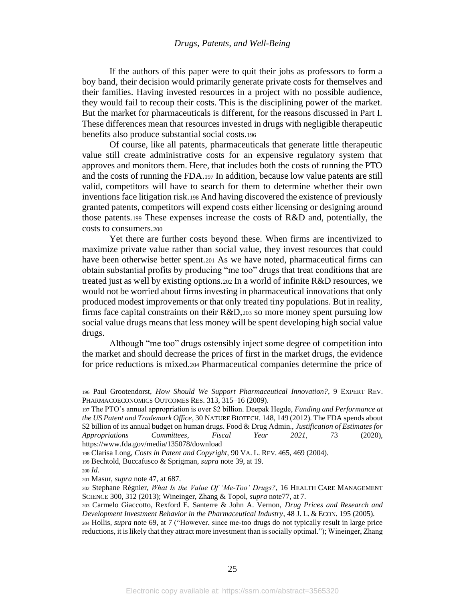If the authors of this paper were to quit their jobs as professors to form a boy band, their decision would primarily generate private costs for themselves and their families. Having invested resources in a project with no possible audience, they would fail to recoup their costs. This is the disciplining power of the market. But the market for pharmaceuticals is different, for the reasons discussed in Part I. These differences mean that resources invested in drugs with negligible therapeutic benefits also produce substantial social costs.<sup>196</sup>

Of course, like all patents, pharmaceuticals that generate little therapeutic value still create administrative costs for an expensive regulatory system that approves and monitors them. Here, that includes both the costs of running the PTO and the costs of running the FDA.<sup>197</sup> In addition, because low value patents are still valid, competitors will have to search for them to determine whether their own inventions face litigation risk.<sup>198</sup> And having discovered the existence of previously granted patents, competitors will expend costs either licensing or designing around those patents.<sup>199</sup> These expenses increase the costs of R&D and, potentially, the costs to consumers.<sup>200</sup>

<span id="page-25-0"></span>Yet there are further costs beyond these. When firms are incentivized to maximize private value rather than social value, they invest resources that could have been otherwise better spent.<sup>201</sup> As we have noted, pharmaceutical firms can obtain substantial profits by producing "me too" drugs that treat conditions that are treated just as well by existing options.<sup>202</sup> In a world of infinite R&D resources, we would not be worried about firms investing in pharmaceutical innovations that only produced modest improvements or that only treated tiny populations. But in reality, firms face capital constraints on their R&D,<sup>203</sup> so more money spent pursuing low social value drugs means that less money will be spent developing high social value drugs.

<span id="page-25-1"></span>Although "me too" drugs ostensibly inject some degree of competition into the market and should decrease the prices of first in the market drugs, the evidence for price reductions is mixed.<sup>204</sup> Pharmaceutical companies determine the price of

<sup>200</sup> *Id*.

<sup>201</sup> Masur, *supra* note [47,](#page-8-2) at 687.

<sup>196</sup> Paul Grootendorst, *How Should We Support Pharmaceutical Innovation?*, 9 EXPERT REV. PHARMACOECONOMICS OUTCOMES RES. 313, 315–16 (2009).

<sup>197</sup> The PTO's annual appropriation is over \$2 billion. Deepak Hegde, *Funding and Performance at the US Patent and Trademark Office*, 30 NATURE BIOTECH. 148, 149 (2012). The FDA spends about \$2 billion of its annual budget on human drugs. Food & Drug Admin., *Justification of Estimates for Appropriations Committees*, *Fiscal Year 2021*, 73 (2020), https://www.fda.gov/media/135078/download

<sup>198</sup> Clarisa Long, *Costs in Patent and Copyright*, 90 VA. L. REV. 465, 469 (2004).

<sup>199</sup> Bechtold, Buccafusco & Sprigman, *supra* not[e 39,](#page-7-3) at 19.

<sup>202</sup> Stephane Régnier, *What Is the Value Of 'Me-Too' Drugs?*, 16 HEALTH CARE MANAGEMENT SCIENCE 300, 312 (2013); Wineinger, Zhang & Topol, *supra* not[e77,](#page-11-2) at 7.

<sup>203</sup> Carmelo Giaccotto, Rexford E. Santerre & John A. Vernon, *Drug Prices and Research and Development Investment Behavior in the Pharmaceutical Industry*, 48 J. L. & ECON. 195 (2005).

<sup>204</sup> Hollis, *supra* note [69,](#page-10-0) at 7 ("However, since me-too drugs do not typically result in large price reductions, it is likely that they attract more investment than is socially optimal."); Wineinger, Zhang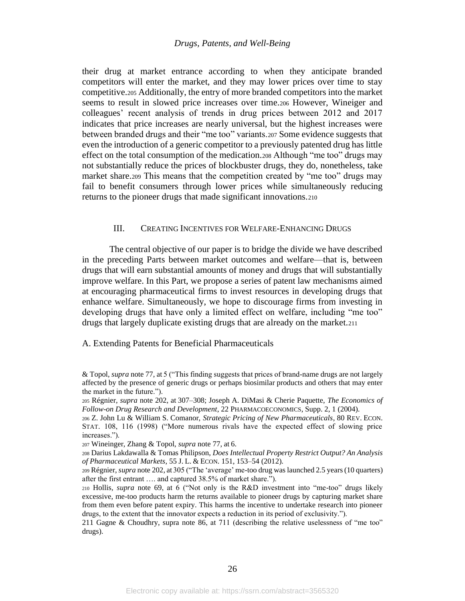their drug at market entrance according to when they anticipate branded competitors will enter the market, and they may lower prices over time to stay competitive.<sup>205</sup> Additionally, the entry of more branded competitors into the market seems to result in slowed price increases over time.<sup>206</sup> However, Wineiger and colleagues' recent analysis of trends in drug prices between 2012 and 2017 indicates that price increases are nearly universal, but the highest increases were between branded drugs and their "me too" variants.<sup>207</sup> Some evidence suggests that even the introduction of a generic competitor to a previously patented drug has little effect on the total consumption of the medication.<sup>208</sup> Although "me too" drugs may not substantially reduce the prices of blockbuster drugs, they do, nonetheless, take market share.<sup>209</sup> This means that the competition created by "me too" drugs may fail to benefit consumers through lower prices while simultaneously reducing returns to the pioneer drugs that made significant innovations.<sup>210</sup>

## <span id="page-26-0"></span>III. CREATING INCENTIVES FOR WELFARE-ENHANCING DRUGS

The central objective of our paper is to bridge the divide we have described in the preceding Parts between market outcomes and welfare—that is, between drugs that will earn substantial amounts of money and drugs that will substantially improve welfare. In this Part, we propose a series of patent law mechanisms aimed at encouraging pharmaceutical firms to invest resources in developing drugs that enhance welfare. Simultaneously, we hope to discourage firms from investing in developing drugs that have only a limited effect on welfare, including "me too" drugs that largely duplicate existing drugs that are already on the market.<sup>211</sup>

#### A. Extending Patents for Beneficial Pharmaceuticals

<sup>&</sup>amp; Topol, *supra* not[e 77,](#page-11-2) at 5 ("This finding suggests that prices of brand-name drugs are not largely affected by the presence of generic drugs or perhaps biosimilar products and others that may enter the market in the future.").

<sup>205</sup> Régnier, *supra* note [202,](#page-25-0) at 307–308; Joseph A. DiMasi & Cherie Paquette, *The Economics of Follow-on Drug Research and Development*, 22 PHARMACOECONOMICS, Supp. 2, 1 (2004).

<sup>206</sup> Z. John Lu & William S. Comanor, *Strategic Pricing of New Pharmaceuticals*, 80 REV. ECON. STAT. 108, 116 (1998) ("More numerous rivals have the expected effect of slowing price increases.").

<sup>207</sup> Wineinger, Zhang & Topol, *supra* not[e 77,](#page-11-2) at 6.

<sup>208</sup> Darius Lakdawalla & Tomas Philipson, *Does Intellectual Property Restrict Output? An Analysis of Pharmaceutical Markets*, 55 J. L. & ECON. 151, 153–54 (2012).

<sup>209</sup> Régnier, *supra* not[e 202,](#page-25-0) at 305 ("The 'average' me-too drug was launched 2.5 years (10 quarters) after the first entrant …. and captured 38.5% of market share.").

<sup>210</sup> Hollis*, supra* note [69,](#page-10-0) at 6 ("Not only is the R&D investment into "me-too" drugs likely excessive, me-too products harm the returns available to pioneer drugs by capturing market share from them even before patent expiry. This harms the incentive to undertake research into pioneer drugs, to the extent that the innovator expects a reduction in its period of exclusivity.").

<sup>211</sup> Gagne & Choudhry, supra note [86,](#page-12-1) at 711 (describing the relative uselessness of "me too" drugs).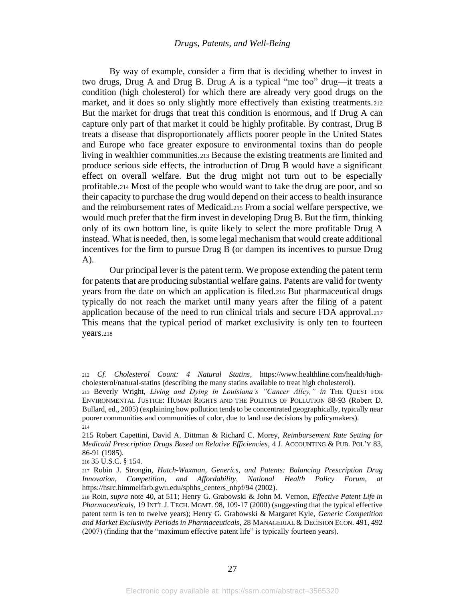By way of example, consider a firm that is deciding whether to invest in two drugs, Drug A and Drug B. Drug A is a typical "me too" drug—it treats a condition (high cholesterol) for which there are already very good drugs on the market, and it does so only slightly more effectively than existing treatments. 212 But the market for drugs that treat this condition is enormous, and if Drug A can capture only part of that market it could be highly profitable. By contrast, Drug B treats a disease that disproportionately afflicts poorer people in the United States and Europe who face greater exposure to environmental toxins than do people living in wealthier communities.<sup>213</sup> Because the existing treatments are limited and produce serious side effects, the introduction of Drug B would have a significant effect on overall welfare. But the drug might not turn out to be especially profitable.<sup>214</sup> Most of the people who would want to take the drug are poor, and so their capacity to purchase the drug would depend on their access to health insurance and the reimbursement rates of Medicaid.<sup>215</sup> From a social welfare perspective, we would much prefer that the firm invest in developing Drug B. But the firm, thinking only of its own bottom line, is quite likely to select the more profitable Drug A instead. What is needed, then, is some legal mechanism that would create additional incentives for the firm to pursue Drug B (or dampen its incentives to pursue Drug A).

<span id="page-27-1"></span>Our principal lever is the patent term. We propose extending the patent term for patents that are producing substantial welfare gains. Patents are valid for twenty years from the date on which an application is filed.<sup>216</sup> But pharmaceutical drugs typically do not reach the market until many years after the filing of a patent application because of the need to run clinical trials and secure FDA approval.<sup>217</sup> This means that the typical period of market exclusivity is only ten to fourteen years.<sup>218</sup>

<span id="page-27-0"></span><sup>212</sup> *Cf. Cholesterol Count: 4 Natural Statins*, https://www.healthline.com/health/highcholesterol/natural-statins (describing the many statins available to treat high cholesterol).

<sup>213</sup> Beverly Wright, *Living and Dying in Louisiana's "Cancer Alley," in* THE QUEST FOR ENVIRONMENTAL JUSTICE: HUMAN RIGHTS AND THE POLITICS OF POLLUTION 88-93 (Robert D. Bullard, ed., 2005) (explaining how pollution tends to be concentrated geographically, typically near poorer communities and communities of color, due to land use decisions by policymakers). 214

<sup>215</sup> Robert Capettini, David A. Dittman & Richard C. Morey, *Reimbursement Rate Setting for Medicaid Prescription Drugs Based on Relative Efficiencies*, 4 J. ACCOUNTING & PUB. POL'Y 83, 86-91 (1985).

<sup>216</sup> 35 U.S.C. § 154.

<sup>217</sup> Robin J. Strongin, *Hatch-Waxman, Generics, and Patents: Balancing Prescription Drug Innovation, Competition, and Affordability*, *National Health Policy Forum, at* https://hsrc.himmelfarb.gwu.edu/sphhs\_centers\_nhpf/94 (2002).

<sup>218</sup> Roin, *supra* note [40,](#page-7-4) at 511; Henry G. Grabowski & John M. Vernon, *Effective Patent Life in Pharmaceuticals*, 19 INT'L J. TECH. MGMT. 98, 109-17 (2000) (suggesting that the typical effective patent term is ten to twelve years); Henry G. Grabowski & Margaret Kyle, *Generic Competition and Market Exclusivity Periods in Pharmaceuticals*, 28 MANAGERIAL & DECISION ECON. 491, 492 (2007) (finding that the "maximum effective patent life" is typically fourteen years).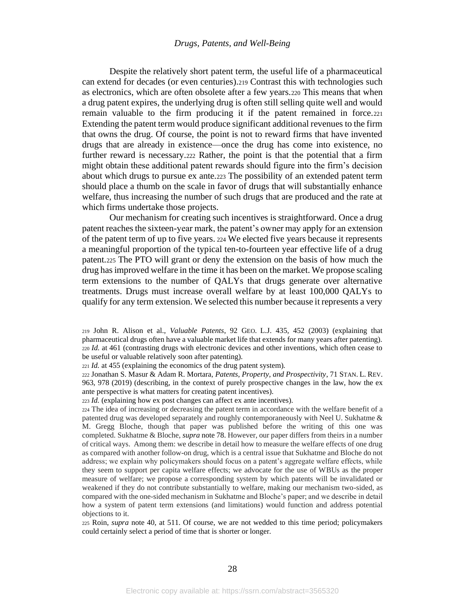Despite the relatively short patent term, the useful life of a pharmaceutical can extend for decades (or even centuries).<sup>219</sup> Contrast this with technologies such as electronics, which are often obsolete after a few years.<sup>220</sup> This means that when a drug patent expires, the underlying drug is often still selling quite well and would remain valuable to the firm producing it if the patent remained in force.<sup>221</sup> Extending the patent term would produce significant additional revenues to the firm that owns the drug. Of course, the point is not to reward firms that have invented drugs that are already in existence—once the drug has come into existence, no further reward is necessary.<sup>222</sup> Rather, the point is that the potential that a firm might obtain these additional patent rewards should figure into the firm's decision about which drugs to pursue ex ante.<sup>223</sup> The possibility of an extended patent term should place a thumb on the scale in favor of drugs that will substantially enhance welfare, thus increasing the number of such drugs that are produced and the rate at which firms undertake those projects.

<span id="page-28-0"></span>Our mechanism for creating such incentives is straightforward. Once a drug patent reaches the sixteen-year mark, the patent's owner may apply for an extension of the patent term of up to five years. <sup>224</sup> We elected five years because it represents a meaningful proportion of the typical ten-to-fourteen year effective life of a drug patent.<sup>225</sup> The PTO will grant or deny the extension on the basis of how much the drug has improved welfare in the time it has been on the market. We propose scaling term extensions to the number of QALYs that drugs generate over alternative treatments. Drugs must increase overall welfare by at least 100,000 QALYs to qualify for any term extension. We selected this number because it represents a very

<sup>221</sup> *Id.* at 455 (explaining the economics of the drug patent system).

<sup>222</sup> Jonathan S. Masur & Adam R. Mortara, *Patents, Property, and Prospectivity*, 71 STAN. L. REV. 963, 978 (2019) (describing, in the context of purely prospective changes in the law, how the ex ante perspective is what matters for creating patent incentives).

<sup>223</sup> *Id.* (explaining how ex post changes can affect ex ante incentives).

<sup>224</sup> The idea of increasing or decreasing the patent term in accordance with the welfare benefit of a patented drug was developed separately and roughly contemporaneously with Neel U. Sukhatme & M. Gregg Bloche, though that paper was published before the writing of this one was completed. Sukhatme & Bloche, *supra* note [78.](#page-11-1) However, our paper differs from theirs in a number of critical ways. Among them: we describe in detail how to measure the welfare effects of one drug as compared with another follow-on drug, which is a central issue that Sukhatme and Bloche do not address; we explain why policymakers should focus on a patent's aggregate welfare effects, while they seem to support per capita welfare effects; we advocate for the use of WBUs as the proper measure of welfare; we propose a corresponding system by which patents will be invalidated or weakened if they do not contribute substantially to welfare, making our mechanism two-sided, as compared with the one-sided mechanism in Sukhatme and Bloche's paper; and we describe in detail how a system of patent term extensions (and limitations) would function and address potential objections to it.

<sup>225</sup> Roin, *supra* note [40,](#page-7-4) at 511. Of course, we are not wedded to this time period; policymakers could certainly select a period of time that is shorter or longer.

<sup>219</sup> John R. Alison et al., *Valuable Patents*, 92 GEO. L.J. 435, 452 (2003) (explaining that pharmaceutical drugs often have a valuable market life that extends for many years after patenting). <sup>220</sup> *Id.* at 461 (contrasting drugs with electronic devices and other inventions, which often cease to be useful or valuable relatively soon after patenting).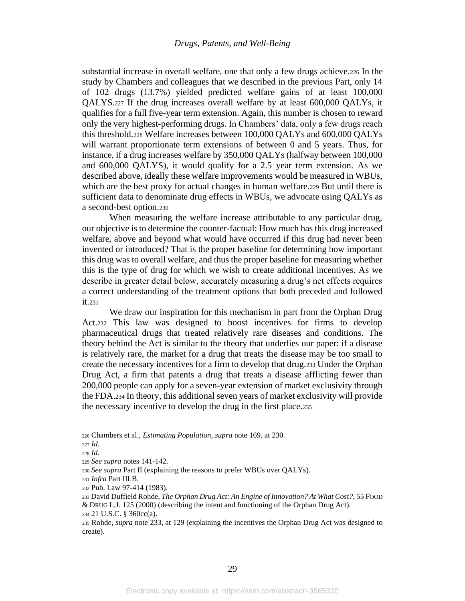substantial increase in overall welfare, one that only a few drugs achieve.<sup>226</sup> In the study by Chambers and colleagues that we described in the previous Part, only 14 of 102 drugs (13.7%) yielded predicted welfare gains of at least 100,000 QALYS.<sup>227</sup> If the drug increases overall welfare by at least 600,000 QALYs, it qualifies for a full five-year term extension. Again, this number is chosen to reward only the very highest-performing drugs. In Chambers' data, only a few drugs reach this threshold.<sup>228</sup> Welfare increases between 100,000 QALYs and 600,000 QALYs will warrant proportionate term extensions of between 0 and 5 years. Thus, for instance, if a drug increases welfare by 350,000 QALYs (halfway between 100,000 and 600,000 QALYS), it would qualify for a 2.5 year term extension. As we described above, ideally these welfare improvements would be measured in WBUs, which are the best proxy for actual changes in human welfare.<sup>229</sup> But until there is sufficient data to denominate drug effects in WBUs, we advocate using QALYs as a second-best option.<sup>230</sup>

When measuring the welfare increase attributable to any particular drug, our objective is to determine the counter-factual: How much has this drug increased welfare, above and beyond what would have occurred if this drug had never been invented or introduced? That is the proper baseline for determining how important this drug was to overall welfare, and thus the proper baseline for measuring whether this is the type of drug for which we wish to create additional incentives. As we describe in greater detail below, accurately measuring a drug's net effects requires a correct understanding of the treatment options that both preceded and followed it.<sup>231</sup>

<span id="page-29-0"></span>We draw our inspiration for this mechanism in part from the Orphan Drug Act.<sup>232</sup> This law was designed to boost incentives for firms to develop pharmaceutical drugs that treated relatively rare diseases and conditions. The theory behind the Act is similar to the theory that underlies our paper: if a disease is relatively rare, the market for a drug that treats the disease may be too small to create the necessary incentives for a firm to develop that drug.<sup>233</sup> Under the Orphan Drug Act, a firm that patents a drug that treats a disease afflicting fewer than 200,000 people can apply for a seven-year extension of market exclusivity through the FDA.<sup>234</sup> In theory, this additional seven years of market exclusivity will provide the necessary incentive to develop the drug in the first place.<sup>235</sup>

<sup>234</sup> 21 U.S.C. § 360cc(a).

<sup>235</sup> Rohde, *supra* note [233,](#page-29-0) at 129 (explaining the incentives the Orphan Drug Act was designed to create).

<sup>226</sup> Chambers et al., *Estimating Population*, *supra* note [169,](#page-22-0) at 230.

<sup>227</sup> *Id.*

<sup>228</sup> *Id.*

<sup>229</sup> *See supra* note[s 141](#page-18-1)[-142.](#page-19-1)

<sup>230</sup> *See supra* Part II (explaining the reasons to prefer WBUs over QALYs).

<sup>231</sup> *Infra* Part III.B.

<sup>232</sup> Pub. Law 97-414 (1983).

<sup>233</sup> David Duffield Rohde, *The Orphan Drug Act: An Engine of Innovation? At What Cost?*, 55 FOOD & DRUG L.J. 125 (2000) (describing the intent and functioning of the Orphan Drug Act).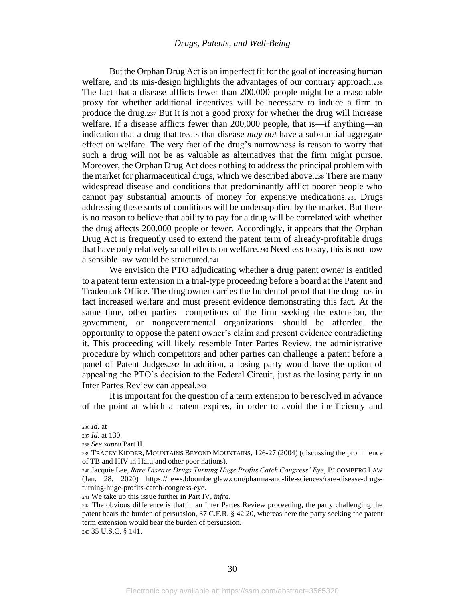But the Orphan Drug Act is an imperfect fit for the goal of increasing human welfare, and its mis-design highlights the advantages of our contrary approach.<sup>236</sup> The fact that a disease afflicts fewer than 200,000 people might be a reasonable proxy for whether additional incentives will be necessary to induce a firm to produce the drug.<sup>237</sup> But it is not a good proxy for whether the drug will increase welfare. If a disease afflicts fewer than 200,000 people, that is—if anything—an indication that a drug that treats that disease *may not* have a substantial aggregate effect on welfare. The very fact of the drug's narrowness is reason to worry that such a drug will not be as valuable as alternatives that the firm might pursue. Moreover, the Orphan Drug Act does nothing to address the principal problem with the market for pharmaceutical drugs, which we described above.<sup>238</sup> There are many widespread disease and conditions that predominantly afflict poorer people who cannot pay substantial amounts of money for expensive medications.<sup>239</sup> Drugs addressing these sorts of conditions will be undersupplied by the market. But there is no reason to believe that ability to pay for a drug will be correlated with whether the drug affects 200,000 people or fewer. Accordingly, it appears that the Orphan Drug Act is frequently used to extend the patent term of already-profitable drugs that have only relatively small effects on welfare.<sup>240</sup> Needless to say, this is not how a sensible law would be structured.<sup>241</sup>

We envision the PTO adjudicating whether a drug patent owner is entitled to a patent term extension in a trial-type proceeding before a board at the Patent and Trademark Office. The drug owner carries the burden of proof that the drug has in fact increased welfare and must present evidence demonstrating this fact. At the same time, other parties—competitors of the firm seeking the extension, the government, or nongovernmental organizations—should be afforded the opportunity to oppose the patent owner's claim and present evidence contradicting it. This proceeding will likely resemble Inter Partes Review, the administrative procedure by which competitors and other parties can challenge a patent before a panel of Patent Judges.<sup>242</sup> In addition, a losing party would have the option of appealing the PTO's decision to the Federal Circuit, just as the losing party in an Inter Partes Review can appeal.<sup>243</sup>

It is important for the question of a term extension to be resolved in advance of the point at which a patent expires, in order to avoid the inefficiency and

<sup>241</sup> We take up this issue further in Part IV, *infra*.

<sup>242</sup> The obvious difference is that in an Inter Partes Review proceeding, the party challenging the patent bears the burden of persuasion, 37 C.F.R. § 42.20, whereas here the party seeking the patent term extension would bear the burden of persuasion.

<sup>243</sup> 35 U.S.C. § 141.

<sup>236</sup> *Id.* at

<sup>237</sup> *Id.* at 130.

<sup>238</sup> *See supra* Part II.

<sup>239</sup> TRACEY KIDDER, MOUNTAINS BEYOND MOUNTAINS, 126-27 (2004) (discussing the prominence of TB and HIV in Haiti and other poor nations).

<sup>240</sup> Jacquie Lee, *Rare Disease Drugs Turning Huge Profits Catch Congress' Eye*, BLOOMBERG LAW (Jan. 28, 2020) https://news.bloomberglaw.com/pharma-and-life-sciences/rare-disease-drugsturning-huge-profits-catch-congress-eye.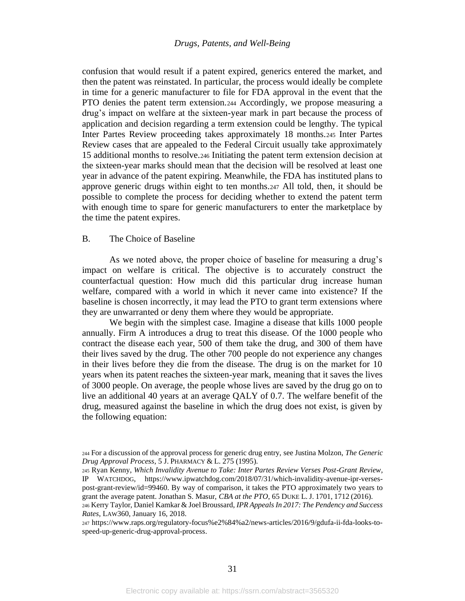confusion that would result if a patent expired, generics entered the market, and then the patent was reinstated. In particular, the process would ideally be complete in time for a generic manufacturer to file for FDA approval in the event that the PTO denies the patent term extension.<sup>244</sup> Accordingly, we propose measuring a drug's impact on welfare at the sixteen-year mark in part because the process of application and decision regarding a term extension could be lengthy. The typical Inter Partes Review proceeding takes approximately 18 months.<sup>245</sup> Inter Partes Review cases that are appealed to the Federal Circuit usually take approximately 15 additional months to resolve.<sup>246</sup> Initiating the patent term extension decision at the sixteen-year marks should mean that the decision will be resolved at least one year in advance of the patent expiring. Meanwhile, the FDA has instituted plans to approve generic drugs within eight to ten months.<sup>247</sup> All told, then, it should be possible to complete the process for deciding whether to extend the patent term with enough time to spare for generic manufacturers to enter the marketplace by the time the patent expires.

## B. The Choice of Baseline

As we noted above, the proper choice of baseline for measuring a drug's impact on welfare is critical. The objective is to accurately construct the counterfactual question: How much did this particular drug increase human welfare, compared with a world in which it never came into existence? If the baseline is chosen incorrectly, it may lead the PTO to grant term extensions where they are unwarranted or deny them where they would be appropriate.

We begin with the simplest case. Imagine a disease that kills 1000 people annually. Firm A introduces a drug to treat this disease. Of the 1000 people who contract the disease each year, 500 of them take the drug, and 300 of them have their lives saved by the drug. The other 700 people do not experience any changes in their lives before they die from the disease. The drug is on the market for 10 years when its patent reaches the sixteen-year mark, meaning that it saves the lives of 3000 people. On average, the people whose lives are saved by the drug go on to live an additional 40 years at an average QALY of 0.7. The welfare benefit of the drug, measured against the baseline in which the drug does not exist, is given by the following equation:

<sup>244</sup> For a discussion of the approval process for generic drug entry, see Justina Molzon, *The Generic Drug Approval Process*, 5 J.PHARMACY & L. 275 (1995).

<sup>245</sup> Ryan Kenny, *Which Invalidity Avenue to Take: Inter Partes Review Verses Post-Grant Review*, IP WATCHDOG, https://www.ipwatchdog.com/2018/07/31/which-invalidity-avenue-ipr-versespost-grant-review/id=99460. By way of comparison, it takes the PTO approximately two years to grant the average patent. Jonathan S. Masur, *CBA at the PTO*, 65 DUKE L. J. 1701, 1712 (2016).

<sup>246</sup> Kerry Taylor, Daniel Kamkar & Joel Broussard, *IPR Appeals In 2017: The Pendency and Success Rates*, LAW360, January 16, 2018.

<sup>247</sup> https://www.raps.org/regulatory-focus%e2%84%a2/news-articles/2016/9/gdufa-ii-fda-looks-tospeed-up-generic-drug-approval-process.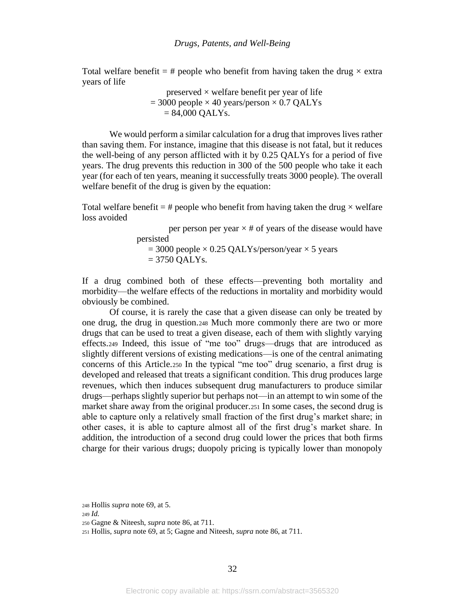Total welfare benefit = # people who benefit from having taken the drug  $\times$  extra years of life

> preserved  $\times$  welfare benefit per year of life  $= 3000$  people  $\times$  40 years/person  $\times$  0.7 QALYs  $= 84,000$  QALYs.

We would perform a similar calculation for a drug that improves lives rather than saving them. For instance, imagine that this disease is not fatal, but it reduces the well-being of any person afflicted with it by 0.25 QALYs for a period of five years. The drug prevents this reduction in 300 of the 500 people who take it each year (for each of ten years, meaning it successfully treats 3000 people). The overall welfare benefit of the drug is given by the equation:

Total welfare benefit  $=$  # people who benefit from having taken the drug  $\times$  welfare loss avoided

> per person per year  $\times$  # of years of the disease would have persisted  $= 3000$  people  $\times 0.25$  QALYs/person/year  $\times 5$  years  $= 3750$  QALYs.

If a drug combined both of these effects—preventing both mortality and morbidity—the welfare effects of the reductions in mortality and morbidity would obviously be combined.

Of course, it is rarely the case that a given disease can only be treated by one drug, the drug in question.<sup>248</sup> Much more commonly there are two or more drugs that can be used to treat a given disease, each of them with slightly varying effects.<sup>249</sup> Indeed, this issue of "me too" drugs—drugs that are introduced as slightly different versions of existing medications—is one of the central animating concerns of this Article.<sup>250</sup> In the typical "me too" drug scenario, a first drug is developed and released that treats a significant condition. This drug produces large revenues, which then induces subsequent drug manufacturers to produce similar drugs—perhaps slightly superior but perhaps not—in an attempt to win some of the market share away from the original producer.<sup>251</sup> In some cases, the second drug is able to capture only a relatively small fraction of the first drug's market share; in other cases, it is able to capture almost all of the first drug's market share. In addition, the introduction of a second drug could lower the prices that both firms charge for their various drugs; duopoly pricing is typically lower than monopoly

<sup>248</sup> Hollis *supra* not[e 69,](#page-10-0) at 5.

<sup>249</sup> *Id.*

<sup>250</sup> Gagne & Niteesh, *supra* not[e 86,](#page-12-1) at 711.

<sup>251</sup> Hollis, *supra* not[e 69,](#page-10-0) at 5; Gagne and Niteesh, *supra* note [86,](#page-12-1) at 711.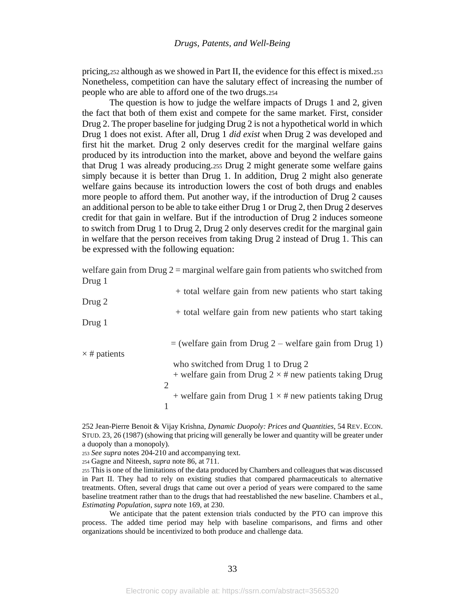pricing,<sup>252</sup> although as we showed in Part II, the evidence for this effect is mixed.<sup>253</sup> Nonetheless, competition can have the salutary effect of increasing the number of people who are able to afford one of the two drugs.<sup>254</sup>

The question is how to judge the welfare impacts of Drugs 1 and 2, given the fact that both of them exist and compete for the same market. First, consider Drug 2. The proper baseline for judging Drug 2 is not a hypothetical world in which Drug 1 does not exist. After all, Drug 1 *did exist* when Drug 2 was developed and first hit the market. Drug 2 only deserves credit for the marginal welfare gains produced by its introduction into the market, above and beyond the welfare gains that Drug 1 was already producing.<sup>255</sup> Drug 2 might generate some welfare gains simply because it is better than Drug 1. In addition, Drug 2 might also generate welfare gains because its introduction lowers the cost of both drugs and enables more people to afford them. Put another way, if the introduction of Drug 2 causes an additional person to be able to take either Drug 1 or Drug 2, then Drug 2 deserves credit for that gain in welfare. But if the introduction of Drug 2 induces someone to switch from Drug 1 to Drug 2, Drug 2 only deserves credit for the marginal gain in welfare that the person receives from taking Drug 2 instead of Drug 1. This can be expressed with the following equation:

welfare gain from Drug  $2 =$  marginal welfare gain from patients who switched from Drug 1

|                     | + total welfare gain from new patients who start taking         |
|---------------------|-----------------------------------------------------------------|
| Drug 2              |                                                                 |
| Drug 1              | + total welfare gain from new patients who start taking         |
| $\times$ # patients | $=$ (welfare gain from Drug 2 – welfare gain from Drug 1)       |
|                     | who switched from Drug 1 to Drug 2                              |
|                     | + welfare gain from Drug $2 \times \#$ new patients taking Drug |
|                     | $\mathcal{D}_{\mathcal{L}}$                                     |
|                     | + welfare gain from Drug $1 \times \#$ new patients taking Drug |
|                     |                                                                 |

<sup>252</sup> Jean-Pierre Benoit & Vijay Krishna, *Dynamic Duopoly: Prices and Quantities*, 54 REV. ECON. STUD. 23, 26 (1987) (showing that pricing will generally be lower and quantity will be greater under a duopoly than a monopoly).

<sup>253</sup> *See supra* note[s 204](#page-25-1)[-210](#page-26-0) and accompanying text.

<sup>254</sup> Gagne and Niteesh, *supra* not[e 86,](#page-12-1) at 711.

<sup>255</sup> This is one of the limitations of the data produced by Chambers and colleagues that was discussed in Part II. They had to rely on existing studies that compared pharmaceuticals to alternative treatments. Often, several drugs that came out over a period of years were compared to the same baseline treatment rather than to the drugs that had reestablished the new baseline. Chambers et al., *Estimating Population*, *supra* note [169,](#page-22-0) at 230.

We anticipate that the patent extension trials conducted by the PTO can improve this process. The added time period may help with baseline comparisons, and firms and other organizations should be incentivized to both produce and challenge data.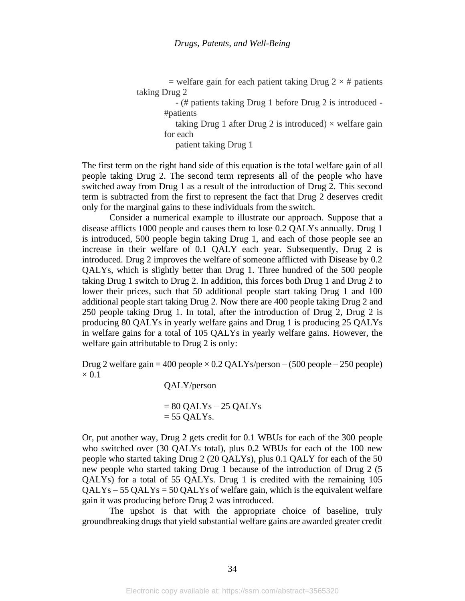= welfare gain for each patient taking Drug  $2 \times #$  patients taking Drug 2

 - (# patients taking Drug 1 before Drug 2 is introduced - #patients

taking Drug 1 after Drug 2 is introduced)  $\times$  welfare gain for each

patient taking Drug 1

The first term on the right hand side of this equation is the total welfare gain of all people taking Drug 2. The second term represents all of the people who have switched away from Drug 1 as a result of the introduction of Drug 2. This second term is subtracted from the first to represent the fact that Drug 2 deserves credit only for the marginal gains to these individuals from the switch.

Consider a numerical example to illustrate our approach. Suppose that a disease afflicts 1000 people and causes them to lose 0.2 QALYs annually. Drug 1 is introduced, 500 people begin taking Drug 1, and each of those people see an increase in their welfare of 0.1 QALY each year. Subsequently, Drug 2 is introduced. Drug 2 improves the welfare of someone afflicted with Disease by 0.2 QALYs, which is slightly better than Drug 1. Three hundred of the 500 people taking Drug 1 switch to Drug 2. In addition, this forces both Drug 1 and Drug 2 to lower their prices, such that 50 additional people start taking Drug 1 and 100 additional people start taking Drug 2. Now there are 400 people taking Drug 2 and 250 people taking Drug 1. In total, after the introduction of Drug 2, Drug 2 is producing 80 QALYs in yearly welfare gains and Drug 1 is producing 25 QALYs in welfare gains for a total of 105 QALYs in yearly welfare gains. However, the welfare gain attributable to Drug 2 is only:

Drug 2 welfare gain = 400 people  $\times$  0.2 QALYs/person – (500 people – 250 people)  $\times 0.1$ 

QALY/person

 $= 80$  QALYs  $- 25$  QALYs  $= 55$  OALYs.

Or, put another way, Drug 2 gets credit for 0.1 WBUs for each of the 300 people who switched over (30 QALYs total), plus 0.2 WBUs for each of the 100 new people who started taking Drug 2 (20 QALYs), plus 0.1 QALY for each of the 50 new people who started taking Drug 1 because of the introduction of Drug 2 (5 QALYs) for a total of 55 QALYs. Drug 1 is credited with the remaining 105  $QALYs - 55 QALYs = 50 QALYs$  of welfare gain, which is the equivalent welfare gain it was producing before Drug 2 was introduced.

The upshot is that with the appropriate choice of baseline, truly groundbreaking drugs that yield substantial welfare gains are awarded greater credit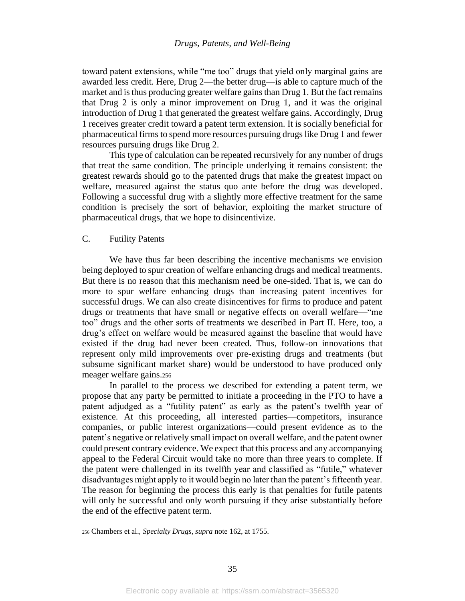toward patent extensions, while "me too" drugs that yield only marginal gains are awarded less credit. Here, Drug 2—the better drug—is able to capture much of the market and is thus producing greater welfare gains than Drug 1. But the fact remains that Drug 2 is only a minor improvement on Drug 1, and it was the original introduction of Drug 1 that generated the greatest welfare gains. Accordingly, Drug 1 receives greater credit toward a patent term extension. It is socially beneficial for pharmaceutical firms to spend more resources pursuing drugs like Drug 1 and fewer resources pursuing drugs like Drug 2.

This type of calculation can be repeated recursively for any number of drugs that treat the same condition. The principle underlying it remains consistent: the greatest rewards should go to the patented drugs that make the greatest impact on welfare, measured against the status quo ante before the drug was developed. Following a successful drug with a slightly more effective treatment for the same condition is precisely the sort of behavior, exploiting the market structure of pharmaceutical drugs, that we hope to disincentivize.

## C. Futility Patents

We have thus far been describing the incentive mechanisms we envision being deployed to spur creation of welfare enhancing drugs and medical treatments. But there is no reason that this mechanism need be one-sided. That is, we can do more to spur welfare enhancing drugs than increasing patent incentives for successful drugs. We can also create disincentives for firms to produce and patent drugs or treatments that have small or negative effects on overall welfare—"me too" drugs and the other sorts of treatments we described in Part II. Here, too, a drug's effect on welfare would be measured against the baseline that would have existed if the drug had never been created. Thus, follow-on innovations that represent only mild improvements over pre-existing drugs and treatments (but subsume significant market share) would be understood to have produced only meager welfare gains.<sup>256</sup>

In parallel to the process we described for extending a patent term, we propose that any party be permitted to initiate a proceeding in the PTO to have a patent adjudged as a "futility patent" as early as the patent's twelfth year of existence. At this proceeding, all interested parties—competitors, insurance companies, or public interest organizations—could present evidence as to the patent's negative or relatively small impact on overall welfare, and the patent owner could present contrary evidence. We expect that this process and any accompanying appeal to the Federal Circuit would take no more than three years to complete. If the patent were challenged in its twelfth year and classified as "futile," whatever disadvantages might apply to it would begin no later than the patent's fifteenth year. The reason for beginning the process this early is that penalties for futile patents will only be successful and only worth pursuing if they arise substantially before the end of the effective patent term.

<sup>256</sup> Chambers et al., *Specialty Drugs*, *supra* note [162,](#page-21-0) at 1755.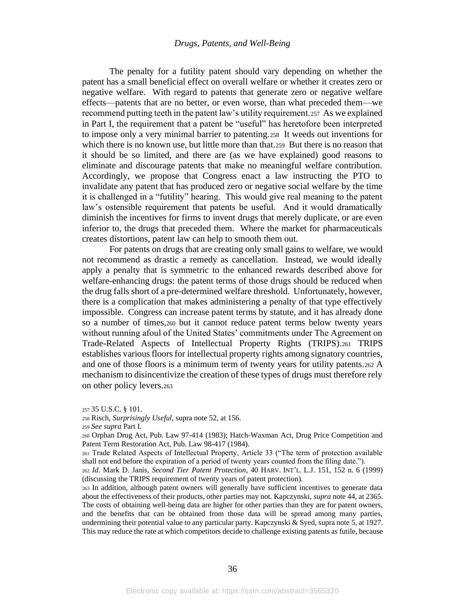The penalty for a futility patent should vary depending on whether the patent has a small beneficial effect on overall welfare or whether it creates zero or negative welfare. With regard to patents that generate zero or negative welfare effects—patents that are no better, or even worse, than what preceded them—we recommend putting teeth in the patent law's utility requirement.257 As we explained in Part I, the requirement that a patent be "useful" has heretofore been interpreted to impose only a very minimal barrier to patenting.258 It weeds out inventions for which there is no known use, but little more than that. 259 But there is no reason that it should be so limited, and there are (as we have explained) good reasons to eliminate and discourage patents that make no meaningful welfare contribution. Accordingly, we propose that Congress enact a law instructing the PTO to invalidate any patent that has produced zero or negative social welfare by the time it is challenged in a "futility" hearing. This would give real meaning to the patent law's ostensible requirement that patents be useful. And it would dramatically diminish the incentives for firms to invent drugs that merely duplicate, or are even inferior to, the drugs that preceded them. Where the market for pharmaceuticals creates distortions, patent law can help to smooth them out.

For patents on drugs that are creating only small gains to welfare, we would not recommend as drastic a remedy as cancellation. Instead, we would ideally apply a penalty that is symmetric to the enhanced rewards described above for welfare-enhancing drugs: the patent terms of those drugs should be reduced when the drug falls short of a pre-determined welfare threshold. Unfortunately, however, there is a complication that makes administering a penalty of that type effectively impossible. Congress can increase patent terms by statute, and it has already done so a number of times,<sup>260</sup> but it cannot reduce patent terms below twenty years without running afoul of the United States' commitments under The Agreement on Trade-Related Aspects of Intellectual Property Rights (TRIPS).<sup>261</sup> TRIPS establishes various floors for intellectual property rights among signatory countries, and one of those floors is a minimum term of twenty years for utility patents.<sup>262</sup> A mechanism to disincentivize the creation of these types of drugs must therefore rely on other policy levers.<sup>263</sup>

<sup>257</sup> 35 U.S.C. § 101.

<sup>258</sup> Risch, *Surprisingly Useful*, supra note [52,](#page-8-3) at 156.

<sup>259</sup> *See supra* Part I.

<sup>260</sup> Orphan Drug Act, Pub. Law 97-414 (1983); Hatch-Waxman Act, Drug Price Competition and Patent Term Restoration Act, Pub. Law 98-417 (1984).

<sup>261</sup> Trade Related Aspects of Intellectual Property, Article 33 ("The term of protection available shall not end before the expiration of a period of twenty years counted from the filing date.").

<sup>262</sup> *Id*. Mark D. Janis, *Second Tier Patent Protection*, 40 HARV. INT'L. L.J. 151, 152 n. 6 (1999) (discussing the TRIPS requirement of twenty years of patent protection).

<sup>263</sup> In addition, although patent owners will generally have sufficient incentives to generate data about the effectiveness of their products, other parties may not. Kapczynski, *supra* not[e 44,](#page-8-4) at 2365. The costs of obtaining well-being data are higher for other parties than they are for patent owners, and the benefits that can be obtained from those data will be spread among many parties, undermining their potential value to any particular party. Kapczynski & Syed, supra not[e 5,](#page-2-1) at 1927. This may reduce the rate at which competitors decide to challenge existing patents as futile, because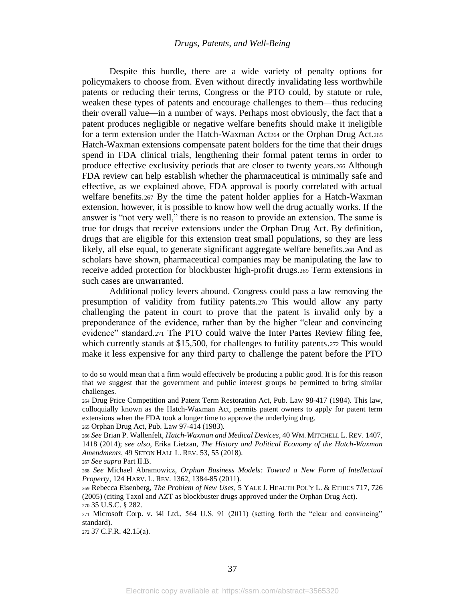Despite this hurdle, there are a wide variety of penalty options for policymakers to choose from. Even without directly invalidating less worthwhile patents or reducing their terms, Congress or the PTO could, by statute or rule, weaken these types of patents and encourage challenges to them—thus reducing their overall value—in a number of ways. Perhaps most obviously, the fact that a patent produces negligible or negative welfare benefits should make it ineligible for a term extension under the Hatch-Waxman Act<sub>264</sub> or the Orphan Drug Act.<sub>265</sub> Hatch-Waxman extensions compensate patent holders for the time that their drugs spend in FDA clinical trials, lengthening their formal patent terms in order to produce effective exclusivity periods that are closer to twenty years.<sup>266</sup> Although FDA review can help establish whether the pharmaceutical is minimally safe and effective, as we explained above, FDA approval is poorly correlated with actual welfare benefits.<sup>267</sup> By the time the patent holder applies for a Hatch-Waxman extension, however, it is possible to know how well the drug actually works. If the answer is "not very well," there is no reason to provide an extension. The same is true for drugs that receive extensions under the Orphan Drug Act. By definition, drugs that are eligible for this extension treat small populations, so they are less likely, all else equal, to generate significant aggregate welfare benefits.<sup>268</sup> And as scholars have shown, pharmaceutical companies may be manipulating the law to receive added protection for blockbuster high-profit drugs.<sup>269</sup> Term extensions in such cases are unwarranted.

<span id="page-37-0"></span>Additional policy levers abound. Congress could pass a law removing the presumption of validity from futility patents.<sup>270</sup> This would allow any party challenging the patent in court to prove that the patent is invalid only by a preponderance of the evidence, rather than by the higher "clear and convincing evidence" standard.<sup>271</sup> The PTO could waive the Inter Partes Review filing fee, which currently stands at \$15,500, for challenges to futility patents.272 This would make it less expensive for any third party to challenge the patent before the PTO

<sup>272</sup> 37 C.F.R. 42.15(a).

to do so would mean that a firm would effectively be producing a public good. It is for this reason that we suggest that the government and public interest groups be permitted to bring similar challenges.

<sup>264</sup> Drug Price Competition and Patent Term Restoration Act, Pub. Law 98-417 (1984). This law, colloquially known as the Hatch-Waxman Act, permits patent owners to apply for patent term extensions when the FDA took a longer time to approve the underlying drug.

<sup>265</sup> Orphan Drug Act, Pub. Law 97-414 (1983).

<sup>266</sup> *See* Brian P. Wallenfelt, *Hatch-Waxman and Medical Devices*, 40 WM. MITCHELL L. REV. 1407, 1418 (2014); *see also*, Erika Lietzan, *The History and Political Economy of the Hatch-Waxman Amendments*, 49 SETON HALL L. REV. 53, 55 (2018).

<sup>267</sup> *See supra* Part II.B.

<sup>268</sup> *See* Michael Abramowicz, *Orphan Business Models: Toward a New Form of Intellectual Property*, 124 HARV. L. REV. 1362, 1384-85 (2011).

<sup>269</sup> Rebecca Eisenberg, *The Problem of New Uses*, 5 YALE J. HEALTH POL'Y L. & ETHICS 717, 726 (2005) (citing Taxol and AZT as blockbuster drugs approved under the Orphan Drug Act). <sup>270</sup> 35 U.S.C. § 282.

<sup>271</sup> Microsoft Corp. v. i4i Ltd., 564 U.S. 91 (2011) (setting forth the "clear and convincing" standard).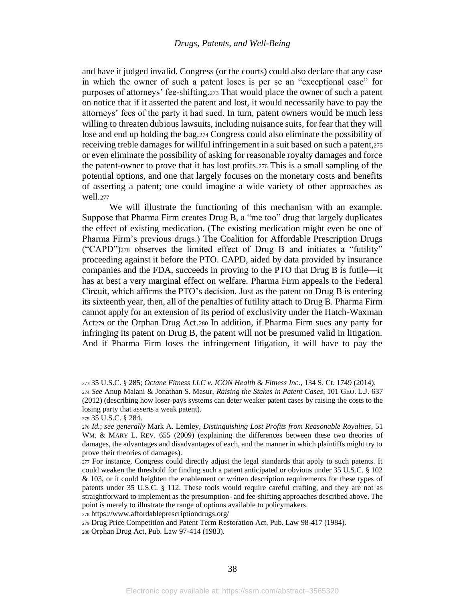and have it judged invalid. Congress (or the courts) could also declare that any case in which the owner of such a patent loses is per se an "exceptional case" for purposes of attorneys' fee-shifting.<sup>273</sup> That would place the owner of such a patent on notice that if it asserted the patent and lost, it would necessarily have to pay the attorneys' fees of the party it had sued. In turn, patent owners would be much less willing to threaten dubious lawsuits, including nuisance suits, for fear that they will lose and end up holding the bag.<sup>274</sup> Congress could also eliminate the possibility of receiving treble damages for willful infringement in a suit based on such a patent,<sup>275</sup> or even eliminate the possibility of asking for reasonable royalty damages and force the patent-owner to prove that it has lost profits.<sup>276</sup> This is a small sampling of the potential options, and one that largely focuses on the monetary costs and benefits of asserting a patent; one could imagine a wide variety of other approaches as well.<sup>277</sup>

We will illustrate the functioning of this mechanism with an example. Suppose that Pharma Firm creates Drug B, a "me too" drug that largely duplicates the effect of existing medication. (The existing medication might even be one of Pharma Firm's previous drugs.) The Coalition for Affordable Prescription Drugs ("CAPD")<sup>278</sup> observes the limited effect of Drug B and initiates a "futility" proceeding against it before the PTO. CAPD, aided by data provided by insurance companies and the FDA, succeeds in proving to the PTO that Drug B is futile—it has at best a very marginal effect on welfare. Pharma Firm appeals to the Federal Circuit, which affirms the PTO's decision. Just as the patent on Drug B is entering its sixteenth year, then, all of the penalties of futility attach to Drug B. Pharma Firm cannot apply for an extension of its period of exclusivity under the Hatch-Waxman Act<sup>279</sup> or the Orphan Drug Act.<sup>280</sup> In addition, if Pharma Firm sues any party for infringing its patent on Drug B, the patent will not be presumed valid in litigation. And if Pharma Firm loses the infringement litigation, it will have to pay the

<sup>278</sup> https://www.affordableprescriptiondrugs.org/

<sup>279</sup> Drug Price Competition and Patent Term Restoration Act, Pub. Law 98-417 (1984). <sup>280</sup> Orphan Drug Act, Pub. Law 97-414 (1983).

<sup>273</sup> 35 U.S.C. § 285; *Octane Fitness LLC v. ICON Health & Fitness Inc.,* 134 S. Ct. 1749 (2014). <sup>274</sup> *See* Anup Malani & Jonathan S. Masur, *Raising the Stakes in Patent Cases*, 101 GEO. L.J. 637 (2012) (describing how loser-pays systems can deter weaker patent cases by raising the costs to the losing party that asserts a weak patent).

<sup>275</sup> 35 U.S.C. § 284.

<sup>276</sup> *Id.*; *see generally* Mark A. Lemley, *Distinguishing Lost Profits from Reasonable Royalties*, 51 WM. & MARY L. REV. 655 (2009) (explaining the differences between these two theories of damages, the advantages and disadvantages of each, and the manner in which plaintiffs might try to prove their theories of damages).

<sup>277</sup> For instance, Congress could directly adjust the legal standards that apply to such patents. It could weaken the threshold for finding such a patent anticipated or obvious under 35 U.S.C. § 102 & 103, or it could heighten the enablement or written description requirements for these types of patents under 35 U.S.C. § 112. These tools would require careful crafting, and they are not as straightforward to implement as the presumption- and fee-shifting approaches described above. The point is merely to illustrate the range of options available to policymakers.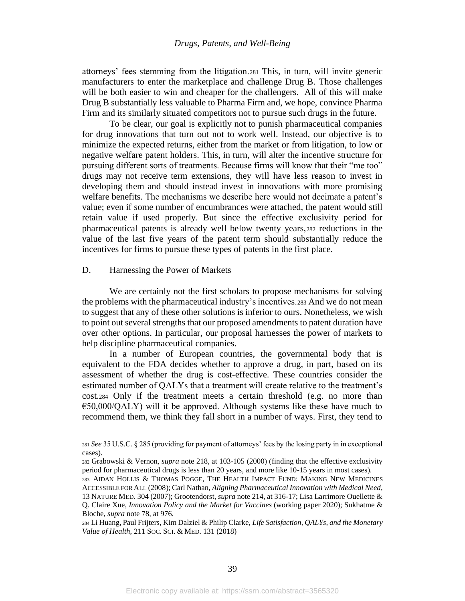attorneys' fees stemming from the litigation.<sup>281</sup> This, in turn, will invite generic manufacturers to enter the marketplace and challenge Drug B. Those challenges will be both easier to win and cheaper for the challengers. All of this will make Drug B substantially less valuable to Pharma Firm and, we hope, convince Pharma Firm and its similarly situated competitors not to pursue such drugs in the future.

To be clear, our goal is explicitly not to punish pharmaceutical companies for drug innovations that turn out not to work well. Instead, our objective is to minimize the expected returns, either from the market or from litigation, to low or negative welfare patent holders. This, in turn, will alter the incentive structure for pursuing different sorts of treatments. Because firms will know that their "me too" drugs may not receive term extensions, they will have less reason to invest in developing them and should instead invest in innovations with more promising welfare benefits. The mechanisms we describe here would not decimate a patent's value; even if some number of encumbrances were attached, the patent would still retain value if used properly. But since the effective exclusivity period for pharmaceutical patents is already well below twenty years,<sup>282</sup> reductions in the value of the last five years of the patent term should substantially reduce the incentives for firms to pursue these types of patents in the first place.

## D. Harnessing the Power of Markets

<span id="page-39-0"></span>We are certainly not the first scholars to propose mechanisms for solving the problems with the pharmaceutical industry's incentives.<sup>283</sup> And we do not mean to suggest that any of these other solutions is inferior to ours. Nonetheless, we wish to point out several strengths that our proposed amendments to patent duration have over other options. In particular, our proposal harnesses the power of markets to help discipline pharmaceutical companies.

In a number of European countries, the governmental body that is equivalent to the FDA decides whether to approve a drug, in part, based on its assessment of whether the drug is cost-effective. These countries consider the estimated number of QALYs that a treatment will create relative to the treatment's cost.<sup>284</sup> Only if the treatment meets a certain threshold (e.g. no more than  $E50,000/QALY)$  will it be approved. Although systems like these have much to recommend them, we think they fall short in a number of ways. First, they tend to

<sup>281</sup> *See* 35 U.S.C. § 285 (providing for payment of attorneys' fees by the losing party in in exceptional cases).

<sup>282</sup> Grabowski & Vernon, *supra* note [218,](#page-27-0) at 103-105 (2000) (finding that the effective exclusivity period for pharmaceutical drugs is less than 20 years, and more like 10-15 years in most cases).

<sup>283</sup> AIDAN HOLLIS & THOMAS POGGE, THE HEALTH IMPACT FUND: MAKING NEW MEDICINES ACCESSIBLE FOR ALL (2008); Carl Nathan, *Aligning Pharmaceutical Innovation with Medical Need*, 13 NATURE MED. 304 (2007); Grootendorst, *supra* note [214,](#page-27-1) at 316-17; Lisa Larrimore Ouellette & Q. Claire Xue, *Innovation Policy and the Market for Vaccines* (working paper 2020); Sukhatme & Bloche, *supra* not[e 78,](#page-11-1) at 976.

<sup>284</sup> Li Huang, Paul Frijters, Kim Dalziel & Philip Clarke, *Life Satisfaction, QALYs, and the Monetary Value of Health*, 211 SOC.SCI. & MED. 131 (2018)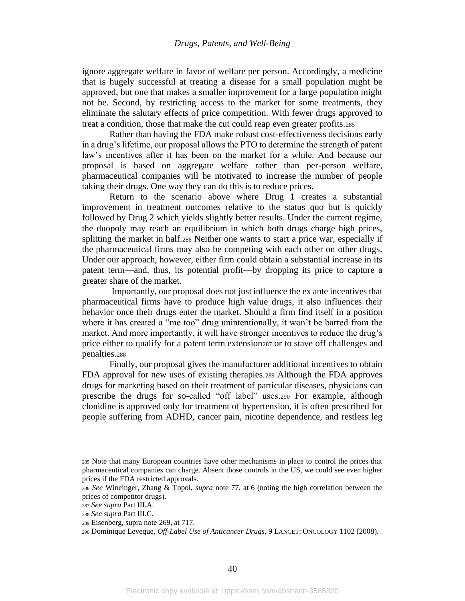ignore aggregate welfare in favor of welfare per person. Accordingly, a medicine that is hugely successful at treating a disease for a small population might be approved, but one that makes a smaller improvement for a large population might not be. Second, by restricting access to the market for some treatments, they eliminate the salutary effects of price competition. With fewer drugs approved to treat a condition, those that make the cut could reap even greater profits.<sup>285</sup>

Rather than having the FDA make robust cost-effectiveness decisions early in a drug's lifetime, our proposal allows the PTO to determine the strength of patent law's incentives after it has been on the market for a while. And because our proposal is based on aggregate welfare rather than per-person welfare, pharmaceutical companies will be motivated to increase the number of people taking their drugs. One way they can do this is to reduce prices.

Return to the scenario above where Drug 1 creates a substantial improvement in treatment outcomes relative to the status quo but is quickly followed by Drug 2 which yields slightly better results. Under the current regime, the duopoly may reach an equilibrium in which both drugs charge high prices, splitting the market in half.<sup>286</sup> Neither one wants to start a price war, especially if the pharmaceutical firms may also be competing with each other on other drugs. Under our approach, however, either firm could obtain a substantial increase in its patent term—and, thus, its potential profit—by dropping its price to capture a greater share of the market.

Importantly, our proposal does not just influence the ex ante incentives that pharmaceutical firms have to produce high value drugs, it also influences their behavior once their drugs enter the market. Should a firm find itself in a position where it has created a "me too" drug unintentionally, it won't be barred from the market. And more importantly, it will have stronger incentives to reduce the drug's price either to qualify for a patent term extension<sup>287</sup> or to stave off challenges and penalties.<sup>288</sup>

Finally, our proposal gives the manufacturer additional incentives to obtain FDA approval for new uses of existing therapies.<sup>289</sup> Although the FDA approves drugs for marketing based on their treatment of particular diseases, physicians can prescribe the drugs for so-called "off label" uses.<sup>290</sup> For example, although clonidine is approved only for treatment of hypertension, it is often prescribed for people suffering from ADHD, cancer pain, nicotine dependence, and restless leg

<sup>285</sup> Note that many European countries have other mechanisms in place to control the prices that pharmaceutical companies can charge. Absent those controls in the US, we could see even higher prices if the FDA restricted approvals.

<sup>286</sup> *See* Wineinger, Zhang & Topol, *supra* note [77,](#page-11-2) at 6 (noting the high correlation between the prices of competitor drugs).

<sup>287</sup> *See supra* Part III.A.

<sup>288</sup> *See supra* Part III.C.

<sup>289</sup> Eisenberg, supra note [269,](#page-37-0) at 717.

<sup>290</sup> Dominique Leveque, *Off-Label Use of Anticancer Drugs*, 9 LANCET: ONCOLOGY 1102 (2008).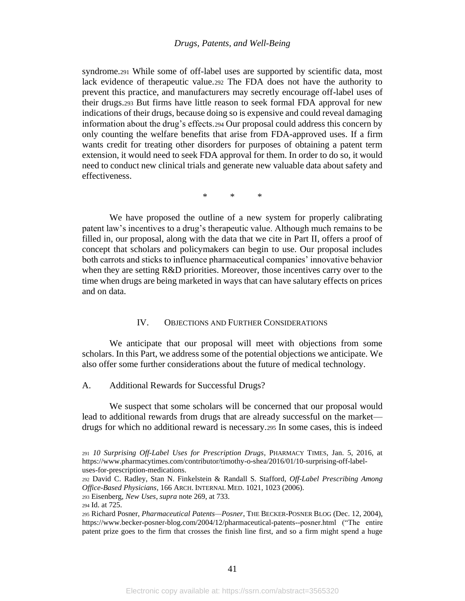syndrome.<sup>291</sup> While some of off-label uses are supported by scientific data, most lack evidence of therapeutic value.<sup>292</sup> The FDA does not have the authority to prevent this practice, and manufacturers may secretly encourage off-label uses of their drugs.<sup>293</sup> But firms have little reason to seek formal FDA approval for new indications of their drugs, because doing so is expensive and could reveal damaging information about the drug's effects.<sup>294</sup> Our proposal could address this concern by only counting the welfare benefits that arise from FDA-approved uses. If a firm wants credit for treating other disorders for purposes of obtaining a patent term extension, it would need to seek FDA approval for them. In order to do so, it would need to conduct new clinical trials and generate new valuable data about safety and effectiveness.

\* \* \*

We have proposed the outline of a new system for properly calibrating patent law's incentives to a drug's therapeutic value. Although much remains to be filled in, our proposal, along with the data that we cite in Part II, offers a proof of concept that scholars and policymakers can begin to use. Our proposal includes both carrots and sticks to influence pharmaceutical companies' innovative behavior when they are setting R&D priorities. Moreover, those incentives carry over to the time when drugs are being marketed in ways that can have salutary effects on prices and on data.

## <span id="page-41-0"></span>IV. OBJECTIONS AND FURTHER CONSIDERATIONS

We anticipate that our proposal will meet with objections from some scholars. In this Part, we address some of the potential objections we anticipate. We also offer some further considerations about the future of medical technology.

We suspect that some scholars will be concerned that our proposal would lead to additional rewards from drugs that are already successful on the market drugs for which no additional reward is necessary.<sup>295</sup> In some cases, this is indeed

A. Additional Rewards for Successful Drugs?

<sup>291</sup> *10 Surprising Off-Label Uses for Prescription Drugs*, PHARMACY TIMES, Jan. 5, 2016, at https://www.pharmacytimes.com/contributor/timothy-o-shea/2016/01/10-surprising-off-labeluses-for-prescription-medications.

<sup>292</sup> David C. Radley, Stan N. Finkelstein & Randall S. Stafford, *Off-Label Prescribing Among Office-Based Physicians*, 166 ARCH. INTERNAL MED. 1021, 1023 (2006).

<sup>293</sup> Eisenberg, *New Uses*, *supra* note [269,](#page-37-0) at 733.

<sup>294</sup> Id. at 725.

<sup>295</sup> Richard Posner, *Pharmaceutical Patents—Posner*, THE BECKER-POSNER BLOG (Dec. 12, 2004), https://www.becker-posner-blog.com/2004/12/pharmaceutical-patents--posner.html ("The entire patent prize goes to the firm that crosses the finish line first, and so a firm might spend a huge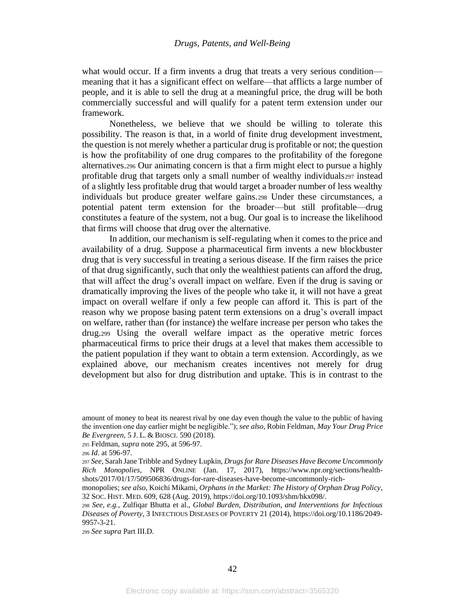what would occur. If a firm invents a drug that treats a very serious condition meaning that it has a significant effect on welfare—that afflicts a large number of people, and it is able to sell the drug at a meaningful price, the drug will be both commercially successful and will qualify for a patent term extension under our framework.

Nonetheless, we believe that we should be willing to tolerate this possibility. The reason is that, in a world of finite drug development investment, the question is not merely whether a particular drug is profitable or not; the question is how the profitability of one drug compares to the profitability of the foregone alternatives.<sup>296</sup> Our animating concern is that a firm might elect to pursue a highly profitable drug that targets only a small number of wealthy individuals<sup>297</sup> instead of a slightly less profitable drug that would target a broader number of less wealthy individuals but produce greater welfare gains.<sup>298</sup> Under these circumstances, a potential patent term extension for the broader—but still profitable—drug constitutes a feature of the system, not a bug. Our goal is to increase the likelihood that firms will choose that drug over the alternative.

In addition, our mechanism is self-regulating when it comes to the price and availability of a drug. Suppose a pharmaceutical firm invents a new blockbuster drug that is very successful in treating a serious disease. If the firm raises the price of that drug significantly, such that only the wealthiest patients can afford the drug, that will affect the drug's overall impact on welfare. Even if the drug is saving or dramatically improving the lives of the people who take it, it will not have a great impact on overall welfare if only a few people can afford it. This is part of the reason why we propose basing patent term extensions on a drug's overall impact on welfare, rather than (for instance) the welfare increase per person who takes the drug.<sup>299</sup> Using the overall welfare impact as the operative metric forces pharmaceutical firms to price their drugs at a level that makes them accessible to the patient population if they want to obtain a term extension. Accordingly, as we explained above, our mechanism creates incentives not merely for drug development but also for drug distribution and uptake. This is in contrast to the

<sup>295</sup> Feldman, *supra* not[e 295,](#page-41-0) at 596-97.

<sup>299</sup> *See supra* Part III.D.

amount of money to beat its nearest rival by one day even though the value to the public of having the invention one day earlier might be negligible."); *see also*, Robin Feldman, *May Your Drug Price Be Evergreen*, 5 J. L. & BIOSCI. 590 (2018).

<sup>296</sup> *Id*. at 596-97.

<sup>297</sup> *See*, Sarah Jane Tribble and Sydney Lupkin, *Drugs for Rare Diseases Have Become Uncommonly Rich Monopolies*, NPR ONLINE (Jan. 17, 2017), https://www.npr.org/sections/healthshots/2017/01/17/509506836/drugs-for-rare-diseases-have-become-uncommonly-rich-

monopolies; *see also*, Koichi Mikami, *Orphans in the Market: The History of Orphan Drug Policy*, 32 SOC. HIST. MED. 609, 628 (Aug. 2019), https://doi.org/10.1093/shm/hkx098/.

<sup>298</sup> *See, e.g.,* Zulfiqar Bhutta et al., *Global Burden, Distribution, and Interventions for Infectious Diseases of Poverty*, 3 INFECTIOUS DISEASES OF POVERTY 21 (2014), https://doi.org/10.1186/2049- 9957-3-21.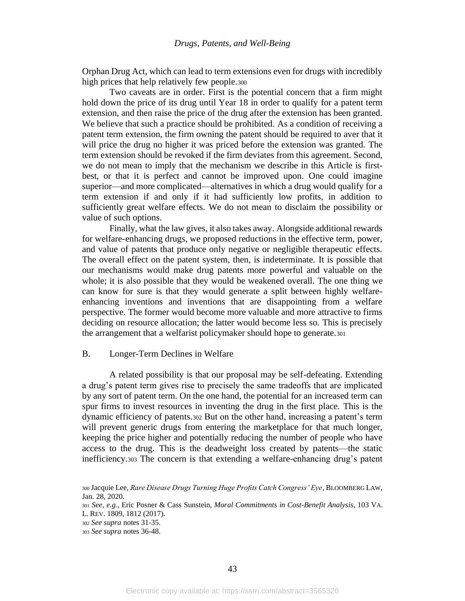Orphan Drug Act, which can lead to term extensions even for drugs with incredibly high prices that help relatively few people.<sup>300</sup>

Two caveats are in order. First is the potential concern that a firm might hold down the price of its drug until Year 18 in order to qualify for a patent term extension, and then raise the price of the drug after the extension has been granted. We believe that such a practice should be prohibited. As a condition of receiving a patent term extension, the firm owning the patent should be required to aver that it will price the drug no higher it was priced before the extension was granted. The term extension should be revoked if the firm deviates from this agreement. Second, we do not mean to imply that the mechanism we describe in this Article is firstbest, or that it is perfect and cannot be improved upon. One could imagine superior—and more complicated—alternatives in which a drug would qualify for a term extension if and only if it had sufficiently low profits, in addition to sufficiently great welfare effects. We do not mean to disclaim the possibility or value of such options.

Finally, what the law gives, it also takes away. Alongside additional rewards for welfare-enhancing drugs, we proposed reductions in the effective term, power, and value of patents that produce only negative or negligible therapeutic effects. The overall effect on the patent system, then, is indeterminate. It is possible that our mechanisms would make drug patents more powerful and valuable on the whole; it is also possible that they would be weakened overall. The one thing we can know for sure is that they would generate a split between highly welfareenhancing inventions and inventions that are disappointing from a welfare perspective. The former would become more valuable and more attractive to firms deciding on resource allocation; the latter would become less so. This is precisely the arrangement that a welfarist policymaker should hope to generate.<sup>301</sup>

#### B. Longer-Term Declines in Welfare

A related possibility is that our proposal may be self-defeating. Extending a drug's patent term gives rise to precisely the same tradeoffs that are implicated by any sort of patent term. On the one hand, the potential for an increased term can spur firms to invest resources in inventing the drug in the first place. This is the dynamic efficiency of patents.<sup>302</sup> But on the other hand, increasing a patent's term will prevent generic drugs from entering the marketplace for that much longer, keeping the price higher and potentially reducing the number of people who have access to the drug. This is the deadweight loss created by patents—the static inefficiency.<sup>303</sup> The concern is that extending a welfare-enhancing drug's patent

<sup>300</sup> Jacquie Lee, *Rare Disease Drugs Turning Huge Profits Catch Congress' Eye*, BLOOMBERG LAW, Jan. 28, 2020.

<sup>301</sup> *See, e.g.,* Eric Posner & Cass Sunstein, *Moral Commitments in Cost-Benefit Analysis*, 103 VA. L. REV. 1809, 1812 (2017).

<sup>302</sup> *See supra* note[s 31](#page-6-2)[-35.](#page-7-5)

<sup>303</sup> *See supra* note[s 36](#page-7-6)[-48.](#page-8-5)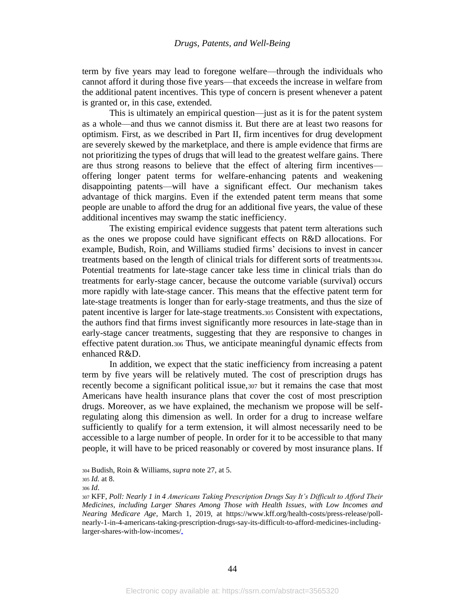term by five years may lead to foregone welfare—through the individuals who cannot afford it during those five years—that exceeds the increase in welfare from the additional patent incentives. This type of concern is present whenever a patent is granted or, in this case, extended.

This is ultimately an empirical question—just as it is for the patent system as a whole—and thus we cannot dismiss it. But there are at least two reasons for optimism. First, as we described in Part II, firm incentives for drug development are severely skewed by the marketplace, and there is ample evidence that firms are not prioritizing the types of drugs that will lead to the greatest welfare gains. There are thus strong reasons to believe that the effect of altering firm incentives offering longer patent terms for welfare-enhancing patents and weakening disappointing patents—will have a significant effect. Our mechanism takes advantage of thick margins. Even if the extended patent term means that some people are unable to afford the drug for an additional five years, the value of these additional incentives may swamp the static inefficiency.

The existing empirical evidence suggests that patent term alterations such as the ones we propose could have significant effects on R&D allocations. For example, Budish, Roin, and Williams studied firms' decisions to invest in cancer treatments based on the length of clinical trials for different sorts of treatments304. Potential treatments for late-stage cancer take less time in clinical trials than do treatments for early-stage cancer, because the outcome variable (survival) occurs more rapidly with late-stage cancer. This means that the effective patent term for late-stage treatments is longer than for early-stage treatments, and thus the size of patent incentive is larger for late-stage treatments.<sup>305</sup> Consistent with expectations, the authors find that firms invest significantly more resources in late-stage than in early-stage cancer treatments, suggesting that they are responsive to changes in effective patent duration.<sup>306</sup> Thus, we anticipate meaningful dynamic effects from enhanced R&D.

In addition, we expect that the static inefficiency from increasing a patent term by five years will be relatively muted. The cost of prescription drugs has recently become a significant political issue,<sup>307</sup> but it remains the case that most Americans have health insurance plans that cover the cost of most prescription drugs. Moreover, as we have explained, the mechanism we propose will be selfregulating along this dimension as well. In order for a drug to increase welfare sufficiently to qualify for a term extension, it will almost necessarily need to be accessible to a large number of people. In order for it to be accessible to that many people, it will have to be priced reasonably or covered by most insurance plans. If

<sup>304</sup> Budish, Roin & Williams, *supra* not[e 27,](#page-6-0) at 5.

<sup>305</sup> *Id.* at 8.

<sup>306</sup> *Id*.

<sup>307</sup> KFF, *Poll: Nearly 1 in 4 Americans Taking Prescription Drugs Say It's Difficult to Afford Their Medicines, including Larger Shares Among Those with Health Issues, with Low Incomes and Nearing Medicare Age*, March 1, 2019, at https://www.kff.org/health-costs/press-release/pollnearly-1-in-4-americans-taking-prescription-drugs-say-its-difficult-to-afford-medicines-includinglarger-shares-with-low-incomes/.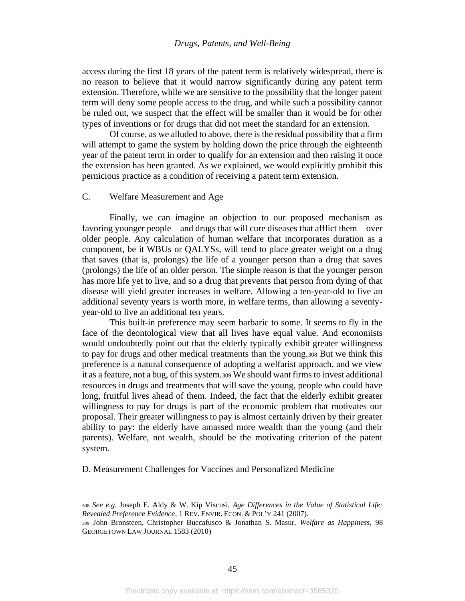access during the first 18 years of the patent term is relatively widespread, there is no reason to believe that it would narrow significantly during any patent term extension. Therefore, while we are sensitive to the possibility that the longer patent term will deny some people access to the drug, and while such a possibility cannot be ruled out, we suspect that the effect will be smaller than it would be for other types of inventions or for drugs that did not meet the standard for an extension.

Of course, as we alluded to above, there is the residual possibility that a firm will attempt to game the system by holding down the price through the eighteenth year of the patent term in order to qualify for an extension and then raising it once the extension has been granted. As we explained, we would explicitly prohibit this pernicious practice as a condition of receiving a patent term extension.

## C. Welfare Measurement and Age

Finally, we can imagine an objection to our proposed mechanism as favoring younger people—and drugs that will cure diseases that afflict them—over older people. Any calculation of human welfare that incorporates duration as a component, be it WBUs or QALYSs, will tend to place greater weight on a drug that saves (that is, prolongs) the life of a younger person than a drug that saves (prolongs) the life of an older person. The simple reason is that the younger person has more life yet to live, and so a drug that prevents that person from dying of that disease will yield greater increases in welfare. Allowing a ten-year-old to live an additional seventy years is worth more, in welfare terms, than allowing a seventyyear-old to live an additional ten years.

This built-in preference may seem barbaric to some. It seems to fly in the face of the deontological view that all lives have equal value. And economists would undoubtedly point out that the elderly typically exhibit greater willingness to pay for drugs and other medical treatments than the young.<sup>308</sup> But we think this preference is a natural consequence of adopting a welfarist approach, and we view it as a feature, not a bug, of this system.<sup>309</sup> We should want firms to invest additional resources in drugs and treatments that will save the young, people who could have long, fruitful lives ahead of them. Indeed, the fact that the elderly exhibit greater willingness to pay for drugs is part of the economic problem that motivates our proposal. Their greater willingness to pay is almost certainly driven by their greater ability to pay: the elderly have amassed more wealth than the young (and their parents). Welfare, not wealth, should be the motivating criterion of the patent system.

D. Measurement Challenges for Vaccines and Personalized Medicine

<sup>308</sup> *See e.g.* Joseph E. Aldy & W. Kip Viscusi, *Age Differences in the Value of Statistical Life: Revealed Preference Evidence*, 1 REV. ENVIR. ECON. & POL'Y 241 (2007). <sup>309</sup> John Bronsteen, Christopher Buccafusco & Jonathan S. Masur, *Welfare as Happiness*, 98 GEORGETOWN LAW JOURNAL 1583 (2010)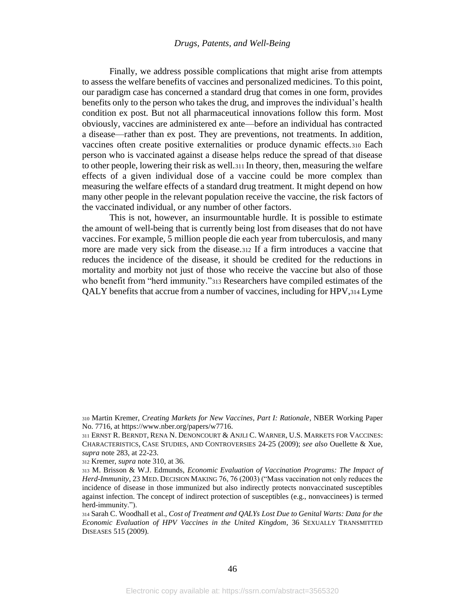<span id="page-46-0"></span>Finally, we address possible complications that might arise from attempts to assess the welfare benefits of vaccines and personalized medicines. To this point, our paradigm case has concerned a standard drug that comes in one form, provides benefits only to the person who takes the drug, and improves the individual's health condition ex post. But not all pharmaceutical innovations follow this form. Most obviously, vaccines are administered ex ante—before an individual has contracted a disease—rather than ex post. They are preventions, not treatments. In addition, vaccines often create positive externalities or produce dynamic effects.<sup>310</sup> Each person who is vaccinated against a disease helps reduce the spread of that disease to other people, lowering their risk as well.<sup>311</sup> In theory, then, measuring the welfare effects of a given individual dose of a vaccine could be more complex than measuring the welfare effects of a standard drug treatment. It might depend on how many other people in the relevant population receive the vaccine, the risk factors of the vaccinated individual, or any number of other factors.

<span id="page-46-1"></span>This is not, however, an insurmountable hurdle. It is possible to estimate the amount of well-being that is currently being lost from diseases that do not have vaccines. For example, 5 million people die each year from tuberculosis, and many more are made very sick from the disease.<sup>312</sup> If a firm introduces a vaccine that reduces the incidence of the disease, it should be credited for the reductions in mortality and morbity not just of those who receive the vaccine but also of those who benefit from "herd immunity."<sup>313</sup> Researchers have compiled estimates of the QALY benefits that accrue from a number of vaccines, including for HPV,<sup>314</sup> Lyme

<sup>310</sup> Martin Kremer, *Creating Markets for New Vaccines, Part I: Rationale*, NBER Working Paper No. 7716, at https://www.nber.org/papers/w7716.

<sup>311</sup> ERNST R. BERNDT, RENA N. DENONCOURT & ANJLI C. WARNER, U.S. MARKETS FOR VACCINES: CHARACTERISTICS, CASE STUDIES, AND CONTROVERSIES 24-25 (2009); *see also* Ouellette & Xue, *supra* note [283,](#page-39-0) at 22-23.

<sup>312</sup> Kremer, *supra* note [310,](#page-46-0) at 36.

<sup>313</sup> M. Brisson & W.J. Edmunds, *Economic Evaluation of Vaccination Programs: The Impact of Herd-Immunity*, 23 MED. DECISION MAKING 76, 76 (2003) ("Mass vaccination not only reduces the incidence of disease in those immunized but also indirectly protects nonvaccinated susceptibles against infection. The concept of indirect protection of susceptibles (e.g., nonvaccinees) is termed herd-immunity.").

<sup>314</sup> Sarah C. Woodhall et al., *Cost of Treatment and QALYs Lost Due to Genital Warts: Data for the Economic Evaluation of HPV Vaccines in the United Kingdom*, 36 SEXUALLY TRANSMITTED DISEASES 515 (2009).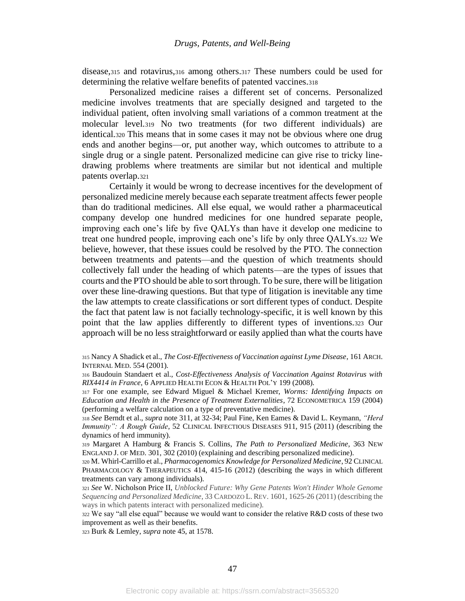disease,<sup>315</sup> and rotavirus,<sup>316</sup> among others.<sup>317</sup> These numbers could be used for determining the relative welfare benefits of patented vaccines.<sup>318</sup>

Personalized medicine raises a different set of concerns. Personalized medicine involves treatments that are specially designed and targeted to the individual patient, often involving small variations of a common treatment at the molecular level.<sup>319</sup> No two treatments (for two different individuals) are identical.<sup>320</sup> This means that in some cases it may not be obvious where one drug ends and another begins—or, put another way, which outcomes to attribute to a single drug or a single patent. Personalized medicine can give rise to tricky linedrawing problems where treatments are similar but not identical and multiple patents overlap.<sup>321</sup>

Certainly it would be wrong to decrease incentives for the development of personalized medicine merely because each separate treatment affects fewer people than do traditional medicines. All else equal, we would rather a pharmaceutical company develop one hundred medicines for one hundred separate people, improving each one's life by five QALYs than have it develop one medicine to treat one hundred people, improving each one's life by only three QALYs.<sup>322</sup> We believe, however, that these issues could be resolved by the PTO. The connection between treatments and patents—and the question of which treatments should collectively fall under the heading of which patents—are the types of issues that courts and the PTO should be able to sort through. To be sure, there will be litigation over these line-drawing questions. But that type of litigation is inevitable any time the law attempts to create classifications or sort different types of conduct. Despite the fact that patent law is not facially technology-specific, it is well known by this point that the law applies differently to different types of inventions.<sup>323</sup> Our approach will be no less straightforward or easily applied than what the courts have

<sup>315</sup> Nancy A Shadick et al., *The Cost-Effectiveness of Vaccination against Lyme Disease*, 161 ARCH. INTERNAL MED. 554 (2001).

<sup>316</sup> Baudouin Standaert et al., *Cost-Effectiveness Analysis of Vaccination Against Rotavirus with RIX4414 in France*, 6 APPLIED HEALTH ECON & HEALTH POL'Y 199 (2008).

<sup>317</sup> For one example, see Edward Miguel & Michael Kremer, *Worms: Identifying Impacts on Education and Health in the Presence of Treatment Externalities*, 72 ECONOMETRICA 159 (2004) (performing a welfare calculation on a type of preventative medicine).

<sup>318</sup> *See* Berndt et al., *supra* note [311,](#page-46-1) at 32-34; Paul Fine, Ken Eames & David L. Keymann, *"Herd Immunity": A Rough Guide*, 52 CLINICAL INFECTIOUS DISEASES 911, 915 (2011) (describing the dynamics of herd immunity).

<sup>319</sup> Margaret A Hamburg & Francis S. Collins, *The Path to Personalized Medicine*, 363 NEW ENGLAND J. OF MED. 301, 302 (2010) (explaining and describing personalized medicine).

<sup>320</sup> M. Whirl-Carrillo et al., *Pharmacogenomics Knowledge for Personalized Medicine*, 92 CLINICAL PHARMACOLOGY & THERAPEUTICS 414, 415-16 (2012) (describing the ways in which different treatments can vary among individuals).

<sup>321</sup> *See* W. Nicholson Price II, *Unblocked Future: Why Gene Patents Won't Hinder Whole Genome Sequencing and Personalized Medicine*, 33 CARDOZO L. REV. 1601, 1625-26 (2011) (describing the ways in which patents interact with personalized medicine).

<sup>322</sup> We say "all else equal" because we would want to consider the relative R&D costs of these two improvement as well as their benefits.

<sup>323</sup> Burk & Lemley, *supra* not[e 45,](#page-8-0) at 1578.